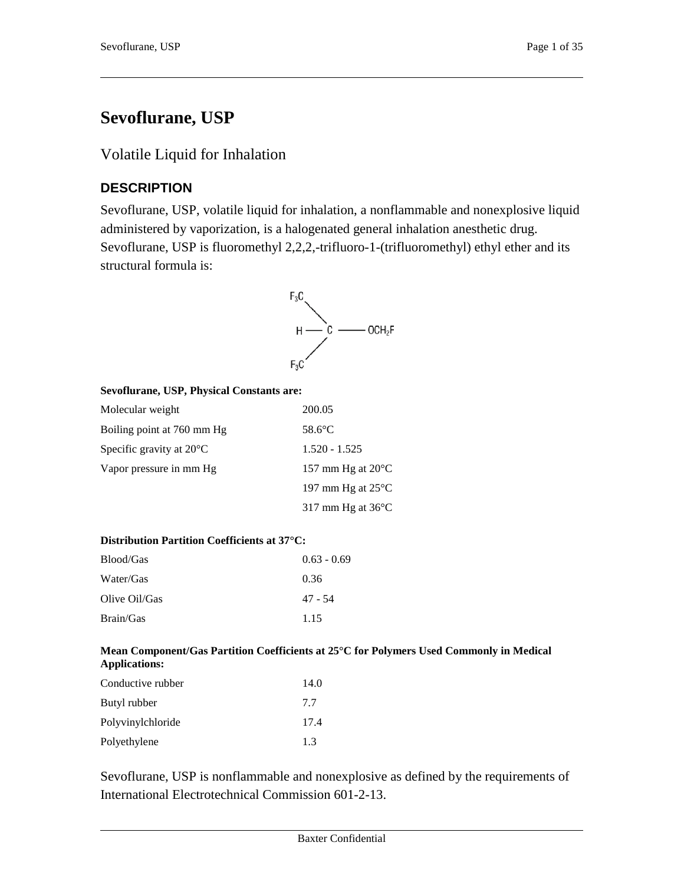# **Sevoflurane, USP**

# Volatile Liquid for Inhalation

# **DESCRIPTION**

Sevoflurane, USP, volatile liquid for inhalation, a nonflammable and nonexplosive liquid administered by vaporization, is a halogenated general inhalation anesthetic drug. Sevoflurane, USP is fluoromethyl 2,2,2,-trifluoro-1-(trifluoromethyl) ethyl ether and its structural formula is:



#### **Sevoflurane, USP, Physical Constants are:**

| Molecular weight                   | 200.05                      |
|------------------------------------|-----------------------------|
| Boiling point at 760 mm Hg         | $58.6$ °C                   |
| Specific gravity at $20^{\circ}$ C | $1.520 - 1.525$             |
| Vapor pressure in mm Hg            | 157 mm Hg at $20^{\circ}$ C |
|                                    | 197 mm Hg at $25^{\circ}$ C |
|                                    | 317 mm Hg at $36^{\circ}$ C |

#### **Distribution Partition Coefficients at 37°C:**

| Blood/Gas     | $0.63 - 0.69$ |
|---------------|---------------|
| Water/Gas     | 0.36          |
| Olive Oil/Gas | 47 - 54       |
| Brain/Gas     | 1.15          |

#### **Mean Component/Gas Partition Coefficients at 25°C for Polymers Used Commonly in Medical Applications:**

| Conductive rubber | 14.0 |
|-------------------|------|
| Butyl rubber      | 7.7  |
| Polyvinylchloride | 17.4 |
| Polyethylene      | 13   |

Sevoflurane, USP is nonflammable and nonexplosive as defined by the requirements of International Electrotechnical Commission 601-2-13.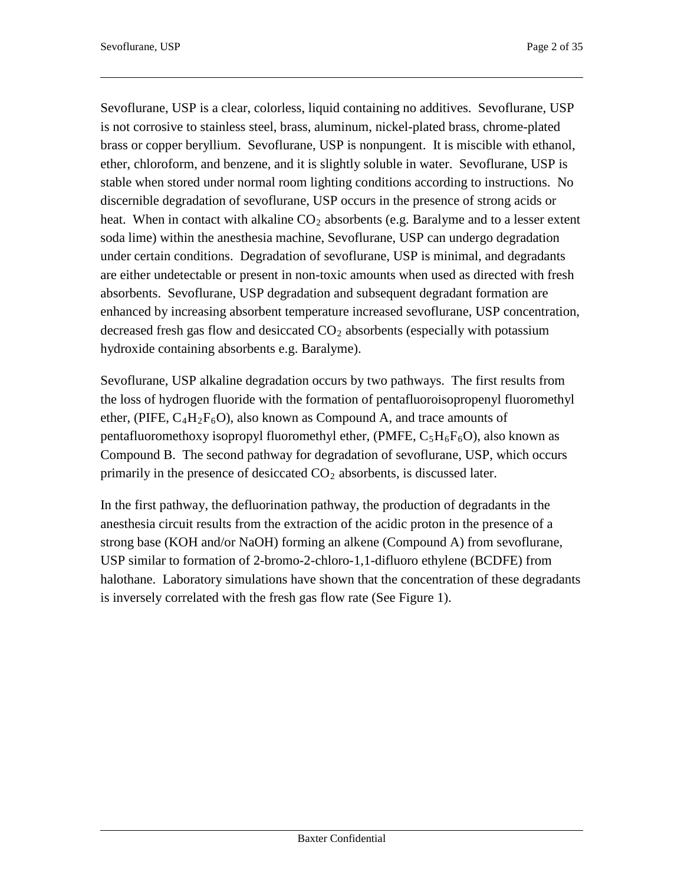Sevoflurane, USP is a clear, colorless, liquid containing no additives. Sevoflurane, USP is not corrosive to stainless steel, brass, aluminum, nickel-plated brass, chrome-plated brass or copper beryllium. Sevoflurane, USP is nonpungent. It is miscible with ethanol, ether, chloroform, and benzene, and it is slightly soluble in water. Sevoflurane, USP is stable when stored under normal room lighting conditions according to instructions. No discernible degradation of sevoflurane, USP occurs in the presence of strong acids or heat. When in contact with alkaline  $CO<sub>2</sub>$  absorbents (e.g. Baralyme and to a lesser extent soda lime) within the anesthesia machine, Sevoflurane, USP can undergo degradation under certain conditions. Degradation of sevoflurane, USP is minimal, and degradants are either undetectable or present in non-toxic amounts when used as directed with fresh absorbents. Sevoflurane, USP degradation and subsequent degradant formation are enhanced by increasing absorbent temperature increased sevoflurane, USP concentration, decreased fresh gas flow and desiccated  $CO<sub>2</sub>$  absorbents (especially with potassium hydroxide containing absorbents e.g. Baralyme).

Sevoflurane, USP alkaline degradation occurs by two pathways. The first results from the loss of hydrogen fluoride with the formation of pentafluoroisopropenyl fluoromethyl ether, (PIFE,  $C_4H_2F_6O$ ), also known as Compound A, and trace amounts of pentafluoromethoxy isopropyl fluoromethyl ether, (PMFE,  $C_5H_6F_6O$ ), also known as Compound B. The second pathway for degradation of sevoflurane, USP, which occurs primarily in the presence of desiccated  $CO<sub>2</sub>$  absorbents, is discussed later.

In the first pathway, the defluorination pathway, the production of degradants in the anesthesia circuit results from the extraction of the acidic proton in the presence of a strong base (KOH and/or NaOH) forming an alkene (Compound A) from sevoflurane, USP similar to formation of 2-bromo-2-chloro-1,1-difluoro ethylene (BCDFE) from halothane. Laboratory simulations have shown that the concentration of these degradants is inversely correlated with the fresh gas flow rate (See Figure 1).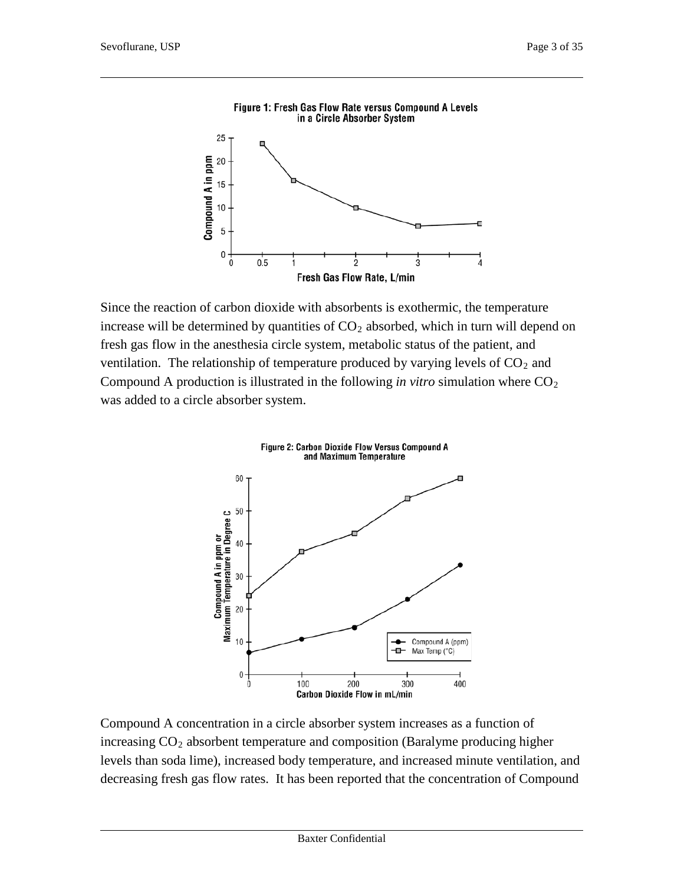

Since the reaction of carbon dioxide with absorbents is exothermic, the temperature increase will be determined by quantities of  $CO<sub>2</sub>$  absorbed, which in turn will depend on fresh gas flow in the anesthesia circle system, metabolic status of the patient, and ventilation. The relationship of temperature produced by varying levels of  $CO<sub>2</sub>$  and Compound A production is illustrated in the following *in vitro* simulation where  $CO<sub>2</sub>$ was added to a circle absorber system.



Compound A concentration in a circle absorber system increases as a function of increasing  $CO<sub>2</sub>$  absorbent temperature and composition (Baralyme producing higher levels than soda lime), increased body temperature, and increased minute ventilation, and decreasing fresh gas flow rates. It has been reported that the concentration of Compound

### Figure 1: Fresh Gas Flow Rate versus Compound A Levels in a Circle Absorber System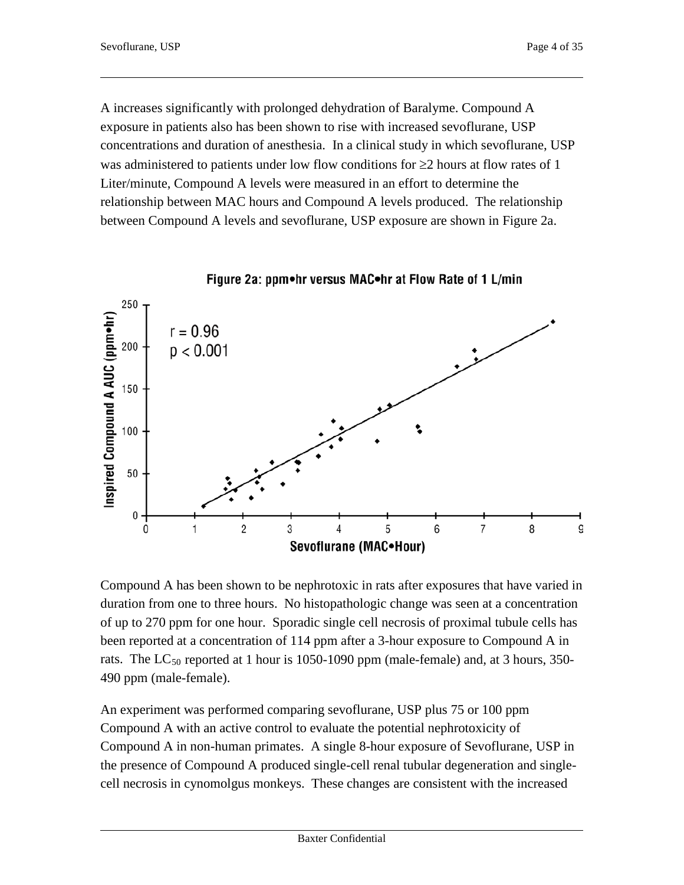A increases significantly with prolonged dehydration of Baralyme. Compound A exposure in patients also has been shown to rise with increased sevoflurane, USP concentrations and duration of anesthesia. In a clinical study in which sevoflurane, USP was administered to patients under low flow conditions for  $\geq 2$  hours at flow rates of 1 Liter/minute, Compound A levels were measured in an effort to determine the relationship between MAC hours and Compound A levels produced. The relationship between Compound A levels and sevoflurane, USP exposure are shown in Figure 2a.





Compound A has been shown to be nephrotoxic in rats after exposures that have varied in duration from one to three hours. No histopathologic change was seen at a concentration of up to 270 ppm for one hour. Sporadic single cell necrosis of proximal tubule cells has been reported at a concentration of 114 ppm after a 3-hour exposure to Compound A in rats. The  $LC_{50}$  reported at 1 hour is 1050-1090 ppm (male-female) and, at 3 hours, 350-490 ppm (male-female).

An experiment was performed comparing sevoflurane, USP plus 75 or 100 ppm Compound A with an active control to evaluate the potential nephrotoxicity of Compound A in non-human primates. A single 8-hour exposure of Sevoflurane, USP in the presence of Compound A produced single-cell renal tubular degeneration and singlecell necrosis in cynomolgus monkeys. These changes are consistent with the increased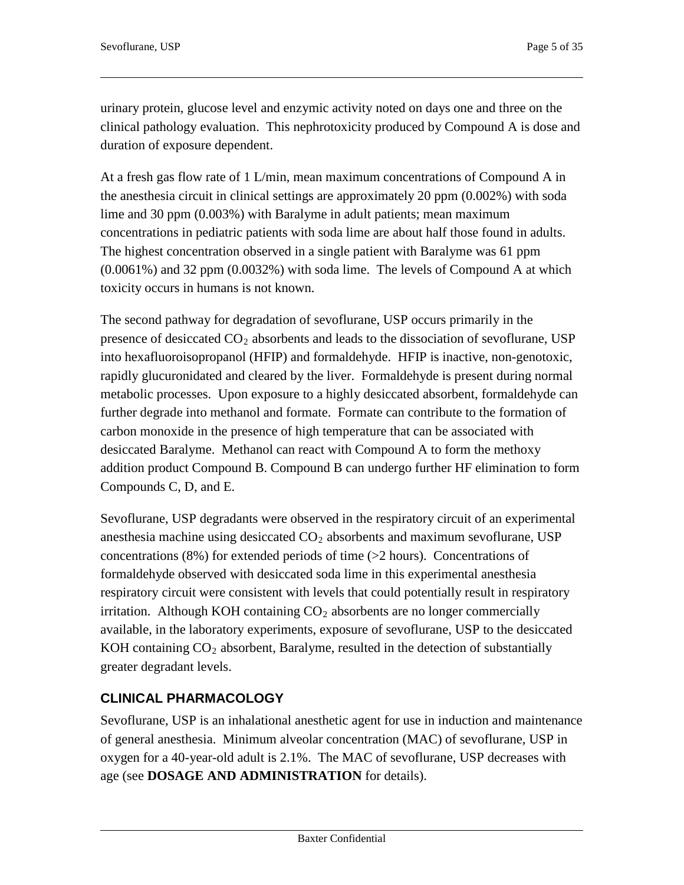urinary protein, glucose level and enzymic activity noted on days one and three on the clinical pathology evaluation. This nephrotoxicity produced by Compound A is dose and duration of exposure dependent.

At a fresh gas flow rate of 1 L/min, mean maximum concentrations of Compound A in the anesthesia circuit in clinical settings are approximately 20 ppm (0.002%) with soda lime and 30 ppm (0.003%) with Baralyme in adult patients; mean maximum concentrations in pediatric patients with soda lime are about half those found in adults. The highest concentration observed in a single patient with Baralyme was 61 ppm (0.0061%) and 32 ppm (0.0032%) with soda lime. The levels of Compound A at which toxicity occurs in humans is not known.

The second pathway for degradation of sevoflurane, USP occurs primarily in the presence of desiccated  $CO<sub>2</sub>$  absorbents and leads to the dissociation of sevoflurane, USP into hexafluoroisopropanol (HFIP) and formaldehyde. HFIP is inactive, non-genotoxic, rapidly glucuronidated and cleared by the liver. Formaldehyde is present during normal metabolic processes. Upon exposure to a highly desiccated absorbent, formaldehyde can further degrade into methanol and formate. Formate can contribute to the formation of carbon monoxide in the presence of high temperature that can be associated with desiccated Baralyme. Methanol can react with Compound A to form the methoxy addition product Compound B. Compound B can undergo further HF elimination to form Compounds C, D, and E.

Sevoflurane, USP degradants were observed in the respiratory circuit of an experimental anesthesia machine using desiccated  $CO<sub>2</sub>$  absorbents and maximum sevoflurane, USP concentrations  $(8\%)$  for extended periods of time  $(>2$  hours). Concentrations of formaldehyde observed with desiccated soda lime in this experimental anesthesia respiratory circuit were consistent with levels that could potentially result in respiratory irritation. Although KOH containing  $CO<sub>2</sub>$  absorbents are no longer commercially available, in the laboratory experiments, exposure of sevoflurane, USP to the desiccated KOH containing  $CO<sub>2</sub>$  absorbent, Baralyme, resulted in the detection of substantially greater degradant levels.

# **CLINICAL PHARMACOLOGY**

Sevoflurane, USP is an inhalational anesthetic agent for use in induction and maintenance of general anesthesia. Minimum alveolar concentration (MAC) of sevoflurane, USP in oxygen for a 40-year-old adult is 2.1%. The MAC of sevoflurane, USP decreases with age (see **DOSAGE AND ADMINISTRATION** for details).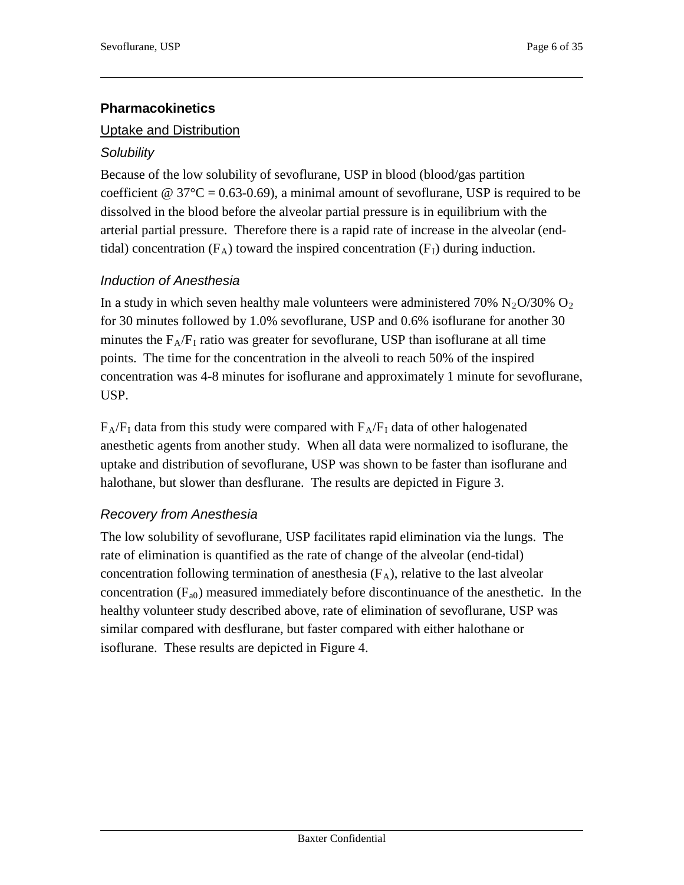# **Pharmacokinetics**

### Uptake and Distribution

### *Solubility*

Because of the low solubility of sevoflurane, USP in blood (blood/gas partition coefficient @  $37^{\circ}C = 0.63-0.69$ , a minimal amount of sevoflurane, USP is required to be dissolved in the blood before the alveolar partial pressure is in equilibrium with the arterial partial pressure. Therefore there is a rapid rate of increase in the alveolar (endtidal) concentration  $(F_A)$  toward the inspired concentration  $(F_I)$  during induction.

# *Induction of Anesthesia*

In a study in which seven healthy male volunteers were administered 70% N<sub>2</sub>O/30% O<sub>2</sub> for 30 minutes followed by 1.0% sevoflurane, USP and 0.6% isoflurane for another 30 minutes the  $F_A/F_I$  ratio was greater for sevoflurane, USP than isoflurane at all time points. The time for the concentration in the alveoli to reach 50% of the inspired concentration was 4-8 minutes for isoflurane and approximately 1 minute for sevoflurane, USP.

 $F_A/F_I$  data from this study were compared with  $F_A/F_I$  data of other halogenated anesthetic agents from another study. When all data were normalized to isoflurane, the uptake and distribution of sevoflurane, USP was shown to be faster than isoflurane and halothane, but slower than desflurane. The results are depicted in Figure 3.

### *Recovery from Anesthesia*

The low solubility of sevoflurane, USP facilitates rapid elimination via the lungs. The rate of elimination is quantified as the rate of change of the alveolar (end-tidal) concentration following termination of anesthesia  $(F_A)$ , relative to the last alveolar concentration  $(F_{a0})$  measured immediately before discontinuance of the anesthetic. In the healthy volunteer study described above, rate of elimination of sevoflurane, USP was similar compared with desflurane, but faster compared with either halothane or isoflurane. These results are depicted in Figure 4.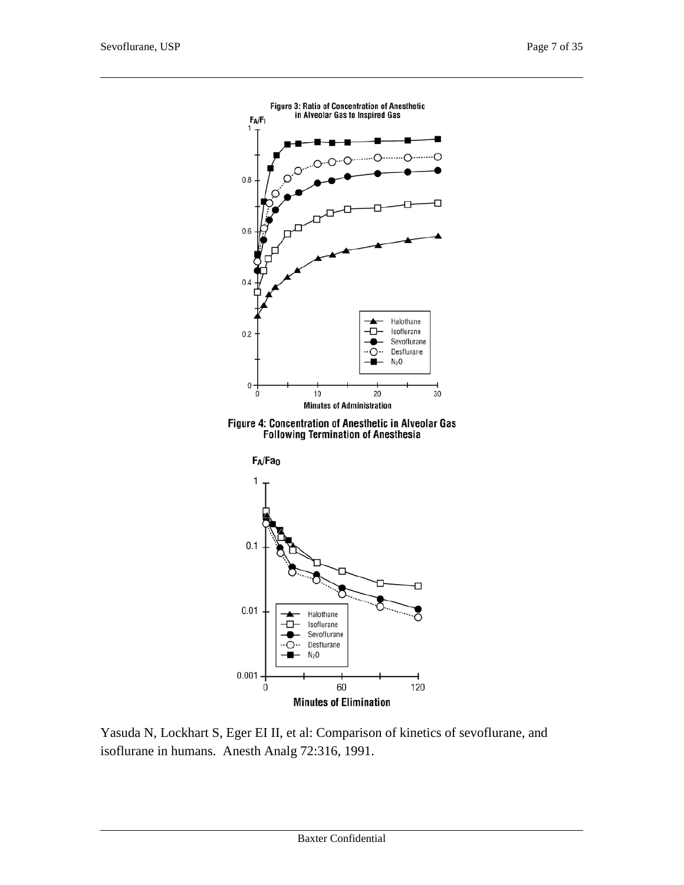

Figure 4: Concentration of Anesthetic in Alveolar Gas<br>Following Termination of Anesthesia



Yasuda N, Lockhart S, Eger EI II, et al: Comparison of kinetics of sevoflurane, and isoflurane in humans. Anesth Analg 72:316, 1991.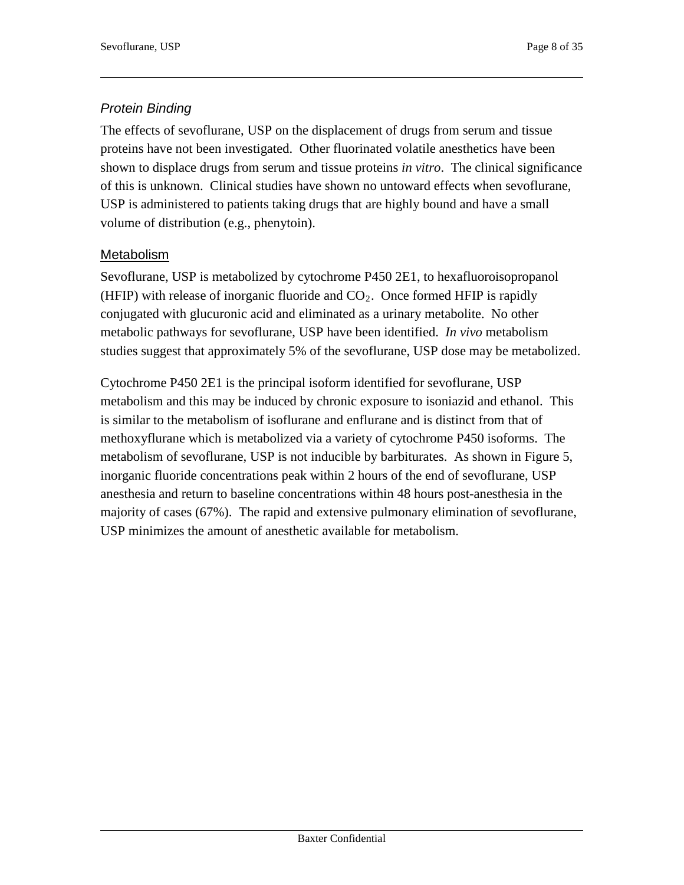# *Protein Binding*

The effects of sevoflurane, USP on the displacement of drugs from serum and tissue proteins have not been investigated. Other fluorinated volatile anesthetics have been shown to displace drugs from serum and tissue proteins *in vitro*. The clinical significance of this is unknown. Clinical studies have shown no untoward effects when sevoflurane, USP is administered to patients taking drugs that are highly bound and have a small volume of distribution (e.g., phenytoin).

### Metabolism

Sevoflurane, USP is metabolized by cytochrome P450 2E1, to hexafluoroisopropanol (HFIP) with release of inorganic fluoride and  $CO<sub>2</sub>$ . Once formed HFIP is rapidly conjugated with glucuronic acid and eliminated as a urinary metabolite. No other metabolic pathways for sevoflurane, USP have been identified. *In vivo* metabolism studies suggest that approximately 5% of the sevoflurane, USP dose may be metabolized.

Cytochrome P450 2E1 is the principal isoform identified for sevoflurane, USP metabolism and this may be induced by chronic exposure to isoniazid and ethanol. This is similar to the metabolism of isoflurane and enflurane and is distinct from that of methoxyflurane which is metabolized via a variety of cytochrome P450 isoforms. The metabolism of sevoflurane, USP is not inducible by barbiturates. As shown in Figure 5, inorganic fluoride concentrations peak within 2 hours of the end of sevoflurane, USP anesthesia and return to baseline concentrations within 48 hours post-anesthesia in the majority of cases (67%). The rapid and extensive pulmonary elimination of sevoflurane, USP minimizes the amount of anesthetic available for metabolism.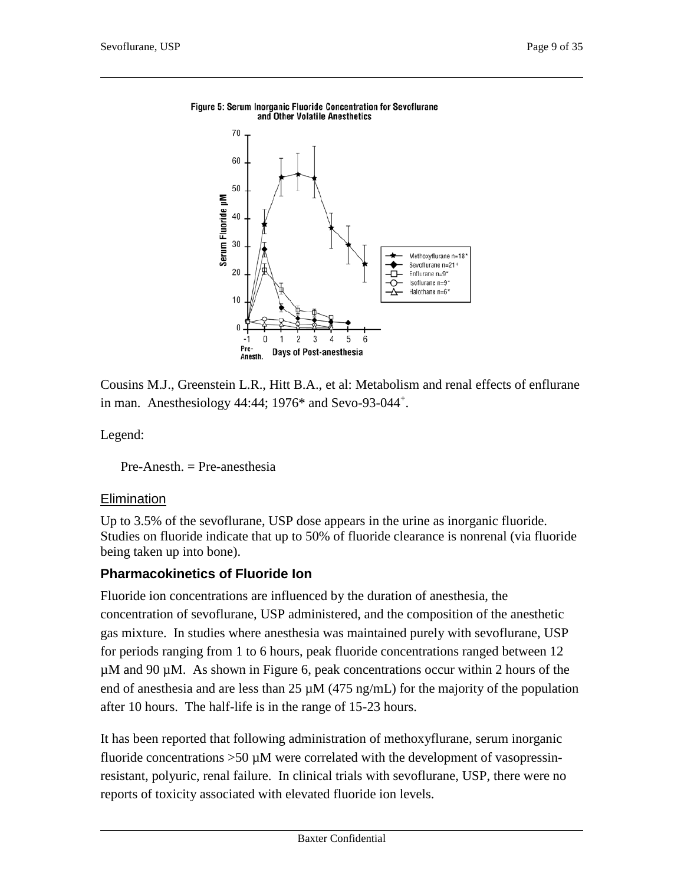

#### Figure 5: Serum Inorganic Fluoride Concentration for Sevoflurane and Other Volatile Anesthetics

Cousins M.J., Greenstein L.R., Hitt B.A., et al: Metabolism and renal effects of enflurane in man. Anesthesiology  $44:44$ ; 1976\* and Sevo-93-044<sup>+</sup>.

Legend:

 $Pre-Anesth = Pre-anesthesia$ 

### **Elimination**

Up to 3.5% of the sevoflurane, USP dose appears in the urine as inorganic fluoride. Studies on fluoride indicate that up to 50% of fluoride clearance is nonrenal (via fluoride being taken up into bone).

### **Pharmacokinetics of Fluoride Ion**

Fluoride ion concentrations are influenced by the duration of anesthesia, the concentration of sevoflurane, USP administered, and the composition of the anesthetic gas mixture. In studies where anesthesia was maintained purely with sevoflurane, USP for periods ranging from 1 to 6 hours, peak fluoride concentrations ranged between 12 µM and 90 µM. As shown in Figure 6, peak concentrations occur within 2 hours of the end of anesthesia and are less than  $25 \mu M$  (475 ng/mL) for the majority of the population after 10 hours. The half-life is in the range of 15-23 hours.

It has been reported that following administration of methoxyflurane, serum inorganic fluoride concentrations  $>50 \mu M$  were correlated with the development of vasopressinresistant, polyuric, renal failure. In clinical trials with sevoflurane, USP, there were no reports of toxicity associated with elevated fluoride ion levels.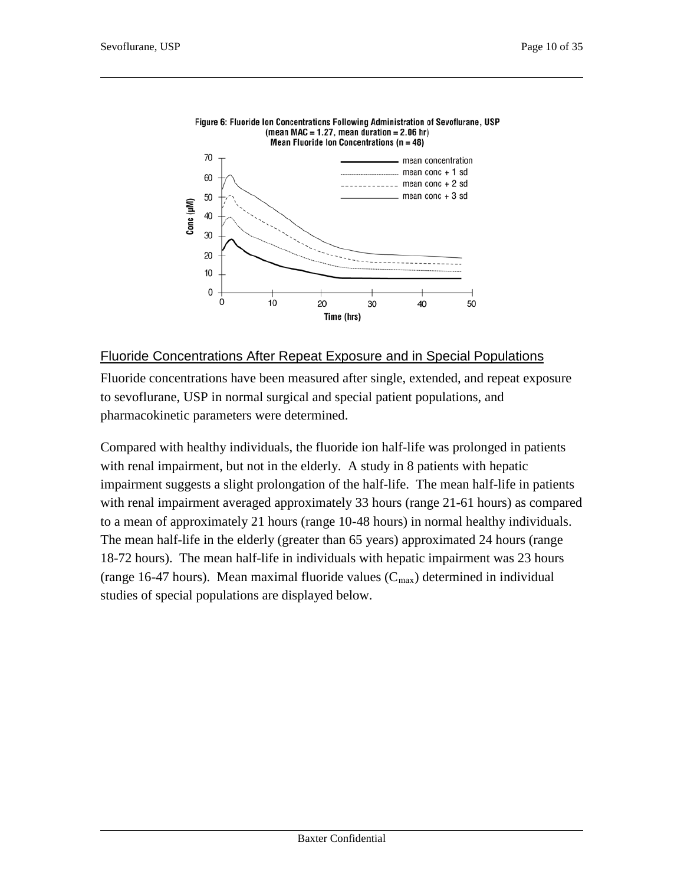

#### Figure 6: Fluoride Ion Concentrations Following Administration of Sevoflurane, USP (mean MAC = 1.27, mean duration =  $2.06$  hr)

#### Fluoride Concentrations After Repeat Exposure and in Special Populations

Fluoride concentrations have been measured after single, extended, and repeat exposure to sevoflurane, USP in normal surgical and special patient populations, and pharmacokinetic parameters were determined.

Compared with healthy individuals, the fluoride ion half-life was prolonged in patients with renal impairment, but not in the elderly. A study in 8 patients with hepatic impairment suggests a slight prolongation of the half-life. The mean half-life in patients with renal impairment averaged approximately 33 hours (range 21-61 hours) as compared to a mean of approximately 21 hours (range 10-48 hours) in normal healthy individuals. The mean half-life in the elderly (greater than 65 years) approximated 24 hours (range 18-72 hours). The mean half-life in individuals with hepatic impairment was 23 hours (range 16-47 hours). Mean maximal fluoride values  $(C_{max})$  determined in individual studies of special populations are displayed below.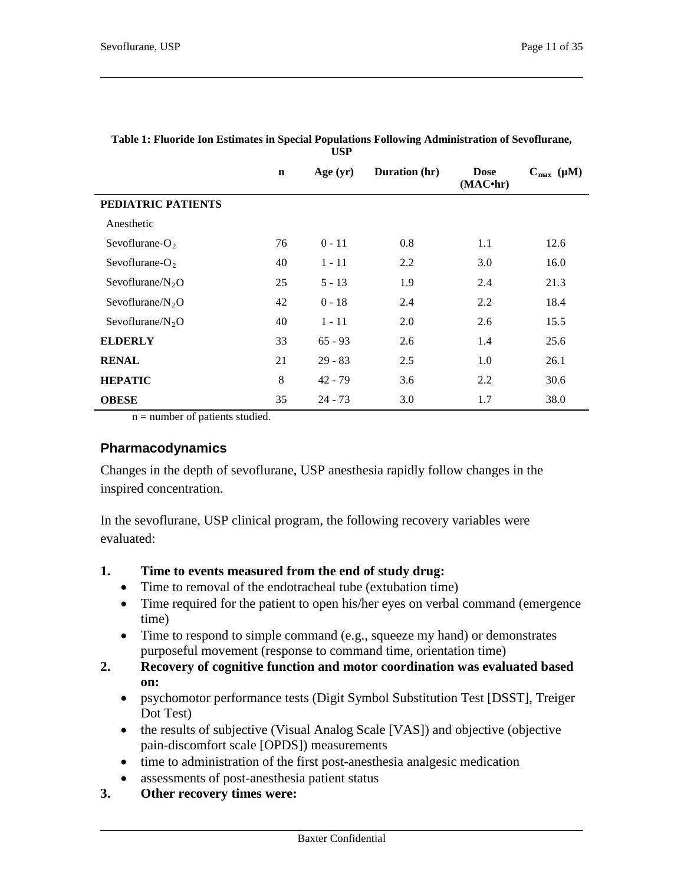|                      | $\mathbf n$ | Age $(yr)$ | Duration (hr) | <b>Dose</b><br>(MAC <sup>•</sup> hr) | $C_{\text{max}}$ ( $\mu$ M) |
|----------------------|-------------|------------|---------------|--------------------------------------|-----------------------------|
| PEDIATRIC PATIENTS   |             |            |               |                                      |                             |
| Anesthetic           |             |            |               |                                      |                             |
| Sevoflurane- $O_2$   | 76          | $0 - 11$   | 0.8           | 1.1                                  | 12.6                        |
| Sevoflurane- $O2$    | 40          | $1 - 11$   | 2.2           | 3.0                                  | 16.0                        |
| Sevoflurane/ $N_2O$  | 25          | $5 - 13$   | 1.9           | 2.4                                  | 21.3                        |
| Sevoflurane/ $N_2$ O | 42          | $0 - 18$   | 2.4           | 2.2                                  | 18.4                        |
| Sevoflurane/ $N_2$ O | 40          | $1 - 11$   | 2.0           | 2.6                                  | 15.5                        |
| <b>ELDERLY</b>       | 33          | $65 - 93$  | 2.6           | 1.4                                  | 25.6                        |
| <b>RENAL</b>         | 21          | $29 - 83$  | 2.5           | 1.0                                  | 26.1                        |
| <b>HEPATIC</b>       | 8           | $42 - 79$  | 3.6           | 2.2                                  | 30.6                        |
| <b>OBESE</b>         | 35          | $24 - 73$  | 3.0           | 1.7                                  | 38.0                        |

#### **Table 1: Fluoride Ion Estimates in Special Populations Following Administration of Sevoflurane, USP**

n = number of patients studied.

#### **Pharmacodynamics**

Changes in the depth of sevoflurane, USP anesthesia rapidly follow changes in the inspired concentration.

In the sevoflurane, USP clinical program, the following recovery variables were evaluated:

### **1. Time to events measured from the end of study drug:**

- Time to removal of the endotracheal tube (extubation time)
- Time required for the patient to open his/her eyes on verbal command (emergence) time)
- Time to respond to simple command (e.g., squeeze my hand) or demonstrates purposeful movement (response to command time, orientation time)
- **2. Recovery of cognitive function and motor coordination was evaluated based on:**
	- psychomotor performance tests (Digit Symbol Substitution Test [DSST], Treiger Dot Test)
	- the results of subjective (Visual Analog Scale [VAS]) and objective (objective pain-discomfort scale [OPDS]) measurements
	- time to administration of the first post-anesthesia analgesic medication
	- assessments of post-anesthesia patient status
- **3. Other recovery times were:**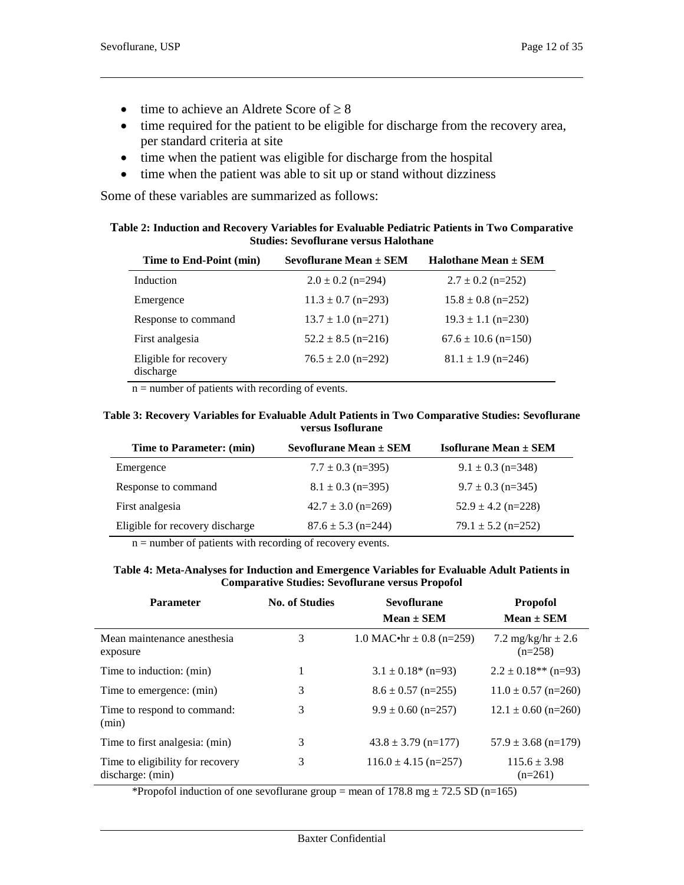- time to achieve an Aldrete Score of  $\geq 8$
- time required for the patient to be eligible for discharge from the recovery area, per standard criteria at site
- time when the patient was eligible for discharge from the hospital
- time when the patient was able to sit up or stand without dizziness

Some of these variables are summarized as follows:

| Table 2: Induction and Recovery Variables for Evaluable Pediatric Patients in Two Comparative |
|-----------------------------------------------------------------------------------------------|
| <b>Studies: Sevoflurane versus Halothane</b>                                                  |

| Time to End-Point (min)            | Sevoflurane Mean $\pm$ SEM | Halothane Mean $\pm$ SEM |
|------------------------------------|----------------------------|--------------------------|
| Induction                          | $2.0 \pm 0.2$ (n=294)      | $2.7 \pm 0.2$ (n=252)    |
| Emergence                          | $11.3 \pm 0.7$ (n=293)     | $15.8 \pm 0.8$ (n=252)   |
| Response to command                | $13.7 \pm 1.0$ (n=271)     | $19.3 \pm 1.1$ (n=230)   |
| First analgesia                    | $52.2 \pm 8.5$ (n=216)     | $67.6 \pm 10.6$ (n=150)  |
| Eligible for recovery<br>discharge | $76.5 \pm 2.0$ (n=292)     | $81.1 \pm 1.9$ (n=246)   |

 $n =$  number of patients with recording of events.

#### **Table 3: Recovery Variables for Evaluable Adult Patients in Two Comparative Studies: Sevoflurane versus Isoflurane**

| Time to Parameter: (min)        | Sevoflurane Mean $\pm$ SEM | <b>Isoflurane Mean <math>\pm</math> SEM</b> |
|---------------------------------|----------------------------|---------------------------------------------|
| Emergence                       | $7.7 \pm 0.3$ (n=395)      | $9.1 \pm 0.3$ (n=348)                       |
| Response to command             | $8.1 \pm 0.3$ (n=395)      | $9.7 \pm 0.3$ (n=345)                       |
| First analgesia                 | $42.7 \pm 3.0$ (n=269)     | $52.9 \pm 4.2$ (n=228)                      |
| Eligible for recovery discharge | $87.6 \pm 5.3$ (n=244)     | $79.1 \pm 5.2$ (n=252)                      |

 $n =$  number of patients with recording of recovery events.

#### **Table 4: Meta-Analyses for Induction and Emergence Variables for Evaluable Adult Patients in Comparative Studies: Sevoflurane versus Propofol**

| <b>Parameter</b>                                     | <b>No. of Studies</b> | <b>Sevoflurane</b><br>$Mean \pm SEM$ | <b>Propofol</b><br>$Mean \pm SEM$   |
|------------------------------------------------------|-----------------------|--------------------------------------|-------------------------------------|
| Mean maintenance anesthesia<br>exposure              | 3                     | 1.0 MAC $\text{•hr} \pm 0.8$ (n=259) | 7.2 mg/kg/hr $\pm 2.6$<br>$(n=258)$ |
| Time to induction: (min)                             |                       | $3.1 \pm 0.18$ * (n=93)              | $2.2 \pm 0.18**$ (n=93)             |
| Time to emergence: (min)                             | 3                     | $8.6 \pm 0.57$ (n=255)               | $11.0 \pm 0.57$ (n=260)             |
| Time to respond to command:<br>(min)                 | 3                     | $9.9 \pm 0.60$ (n=257)               | $12.1 \pm 0.60$ (n=260)             |
| Time to first analgesia: (min)                       | 3                     | $43.8 \pm 3.79$ (n=177)              | $57.9 \pm 3.68$ (n=179)             |
| Time to eligibility for recovery<br>discharge: (min) | 3                     | $116.0 \pm 4.15$ (n=257)             | $115.6 \pm 3.98$<br>$(n=261)$       |

\*Propofol induction of one sevoflurane group = mean of  $178.8 \text{ mg} \pm 72.5 \text{ SD (n=165)}$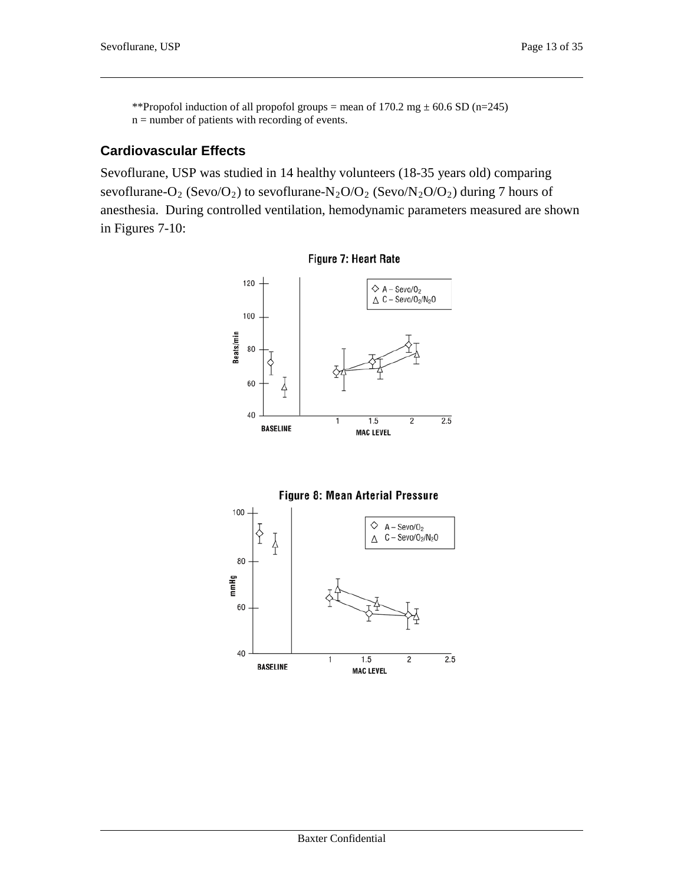\*\*Propofol induction of all propofol groups = mean of 170.2 mg  $\pm$  60.6 SD (n=245)  $n =$  number of patients with recording of events.

### **Cardiovascular Effects**

Sevoflurane, USP was studied in 14 healthy volunteers (18-35 years old) comparing sevoflurane-O<sub>2</sub> (Sevo/O<sub>2</sub>) to sevoflurane-N<sub>2</sub>O/O<sub>2</sub> (Sevo/N<sub>2</sub>O/O<sub>2</sub>) during 7 hours of anesthesia. During controlled ventilation, hemodynamic parameters measured are shown in Figures 7-10:





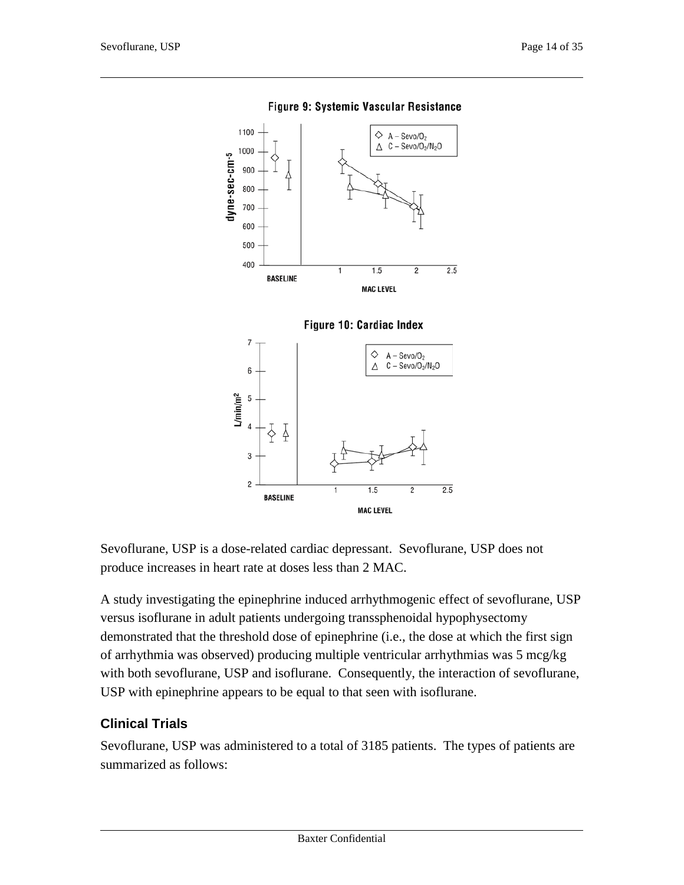

Figure 9: Systemic Vascular Resistance



Sevoflurane, USP is a dose-related cardiac depressant. Sevoflurane, USP does not produce increases in heart rate at doses less than 2 MAC.

A study investigating the epinephrine induced arrhythmogenic effect of sevoflurane, USP versus isoflurane in adult patients undergoing transsphenoidal hypophysectomy demonstrated that the threshold dose of epinephrine (i.e., the dose at which the first sign of arrhythmia was observed) producing multiple ventricular arrhythmias was 5 mcg/kg with both sevoflurane, USP and isoflurane. Consequently, the interaction of sevoflurane, USP with epinephrine appears to be equal to that seen with isoflurane.

### **Clinical Trials**

Sevoflurane, USP was administered to a total of 3185 patients. The types of patients are summarized as follows: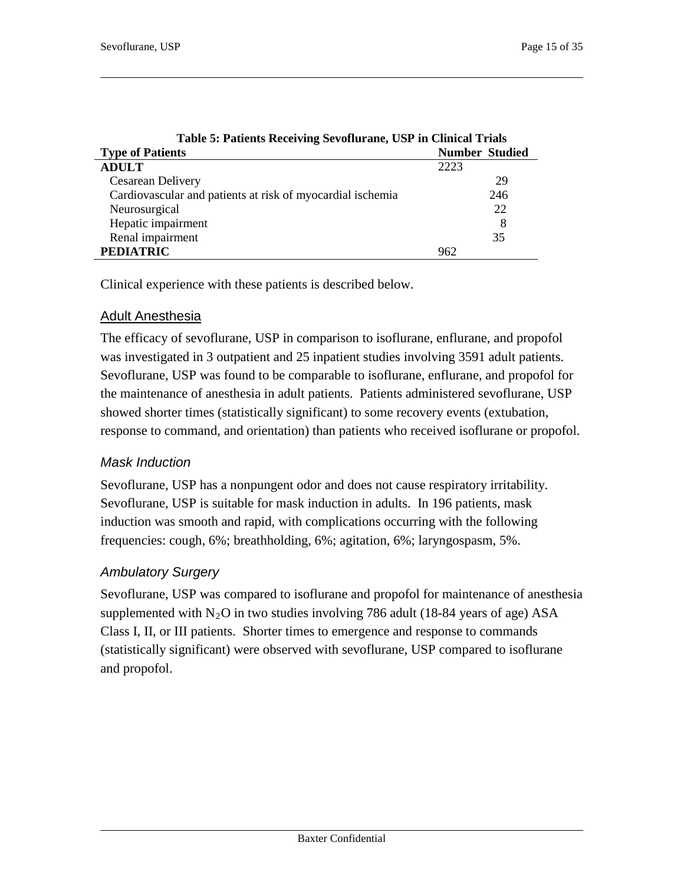| Table 5: Patients Receiving Sevoflurane, USP in Clinical Trials |                       |
|-----------------------------------------------------------------|-----------------------|
| <b>Type of Patients</b>                                         | <b>Number Studied</b> |
| <b>ADULT</b>                                                    | 2223                  |
| Cesarean Delivery                                               | 29                    |
| Cardiovascular and patients at risk of myocardial ischemia      | 246                   |
| Neurosurgical                                                   | 22                    |
| Hepatic impairment                                              | 8                     |
| Renal impairment                                                | 35                    |
| <b>PEDIATRIC</b>                                                | 962                   |

Clinical experience with these patients is described below.

### Adult Anesthesia

The efficacy of sevoflurane, USP in comparison to isoflurane, enflurane, and propofol was investigated in 3 outpatient and 25 inpatient studies involving 3591 adult patients. Sevoflurane, USP was found to be comparable to isoflurane, enflurane, and propofol for the maintenance of anesthesia in adult patients. Patients administered sevoflurane, USP showed shorter times (statistically significant) to some recovery events (extubation, response to command, and orientation) than patients who received isoflurane or propofol.

### *Mask Induction*

Sevoflurane, USP has a nonpungent odor and does not cause respiratory irritability. Sevoflurane, USP is suitable for mask induction in adults. In 196 patients, mask induction was smooth and rapid, with complications occurring with the following frequencies: cough, 6%; breathholding, 6%; agitation, 6%; laryngospasm, 5%.

### *Ambulatory Surgery*

Sevoflurane, USP was compared to isoflurane and propofol for maintenance of anesthesia supplemented with  $N_2O$  in two studies involving 786 adult (18-84 years of age) ASA Class I, II, or III patients. Shorter times to emergence and response to commands (statistically significant) were observed with sevoflurane, USP compared to isoflurane and propofol.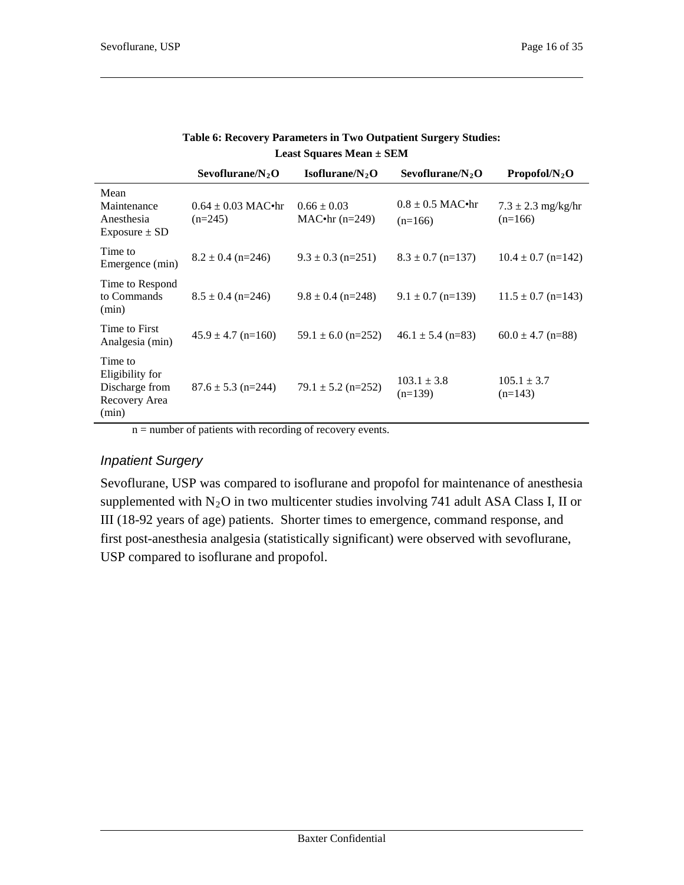|                                                                        | Sevoflurane/ $N, O$                 | Isoflurane/ $N2O$                   | Sevoflurane/ $N, O$               | Propofol/N, O                       |
|------------------------------------------------------------------------|-------------------------------------|-------------------------------------|-----------------------------------|-------------------------------------|
| Mean<br>Maintenance<br>Anesthesia<br>Exposure $\pm$ SD                 | $0.64 \pm 0.03$ MAC•hr<br>$(n=245)$ | $0.66 \pm 0.03$<br>$MAC•hr$ (n=249) | $0.8 \pm 0.5$ MAC•hr<br>$(n=166)$ | $7.3 \pm 2.3$ mg/kg/hr<br>$(n=166)$ |
| Time to<br>Emergence (min)                                             | $8.2 \pm 0.4$ (n=246)               | $9.3 \pm 0.3$ (n=251)               | $8.3 \pm 0.7$ (n=137)             | $10.4 \pm 0.7$ (n=142)              |
| Time to Respond<br>to Commands<br>(min)                                | $8.5 \pm 0.4$ (n=246)               | $9.8 \pm 0.4$ (n=248)               | $9.1 \pm 0.7$ (n=139)             | $11.5 \pm 0.7$ (n=143)              |
| Time to First<br>Analgesia (min)                                       | $45.9 \pm 4.7$ (n=160)              | $59.1 \pm 6.0$ (n=252)              | $46.1 \pm 5.4$ (n=83)             | $60.0 \pm 4.7$ (n=88)               |
| Time to<br>Eligibility for<br>Discharge from<br>Recovery Area<br>(min) | $87.6 \pm 5.3$ (n=244)              | $79.1 \pm 5.2$ (n=252)              | $103.1 \pm 3.8$<br>$(n=139)$      | $105.1 \pm 3.7$<br>$(n=143)$        |

#### **Table 6: Recovery Parameters in Two Outpatient Surgery Studies: Least Squares Mean ± SEM**

n = number of patients with recording of recovery events.

### *Inpatient Surgery*

Sevoflurane, USP was compared to isoflurane and propofol for maintenance of anesthesia supplemented with  $N_2O$  in two multicenter studies involving 741 adult ASA Class I, II or III (18-92 years of age) patients. Shorter times to emergence, command response, and first post-anesthesia analgesia (statistically significant) were observed with sevoflurane, USP compared to isoflurane and propofol.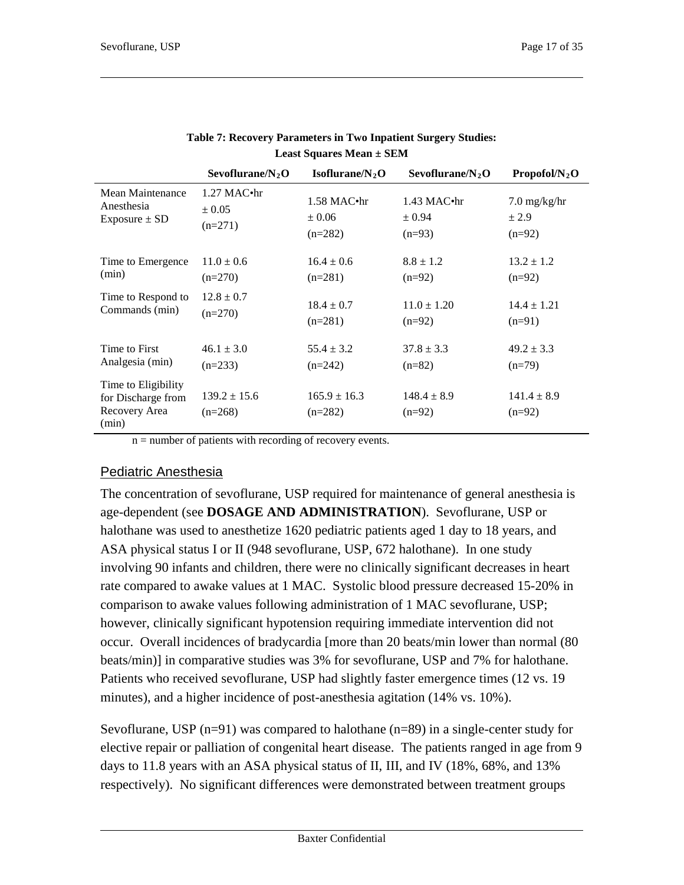|                                                                     | Sevoflurane/ $N_2$ O          | Isoflurane/ $N_2$ O           | Sevoflurane/ $N_2O$         | Propofol/ $N_2$ O           |
|---------------------------------------------------------------------|-------------------------------|-------------------------------|-----------------------------|-----------------------------|
| Mean Maintenance                                                    | $1.27$ MAC $\cdot$ hr         | $1.58$ MAC $\cdot$ hr         | $1.43$ MAC $\cdot$ hr       | $7.0 \text{ mg/kg/hr}$      |
| Anesthesia                                                          | $\pm 0.05$                    | $\pm 0.06$                    | ± 0.94                      | ± 2.9                       |
| Exposure $\pm$ SD                                                   | $(n=271)$                     | $(n=282)$                     | $(n=93)$                    | $(n=92)$                    |
| Time to Emergence                                                   | $11.0 \pm 0.6$                | $16.4 \pm 0.6$                | $8.8 \pm 1.2$               | $13.2 \pm 1.2$              |
| (min)                                                               | $(n=270)$                     | $(n=281)$                     | $(n=92)$                    | $(n=92)$                    |
| Time to Respond to                                                  | $12.8 \pm 0.7$                | $18.4 \pm 0.7$                | $11.0 \pm 1.20$             | $14.4 \pm 1.21$             |
| Commands (min)                                                      | $(n=270)$                     | $(n=281)$                     | $(n=92)$                    | $(n=91)$                    |
| Time to First                                                       | $46.1 \pm 3.0$                | $55.4 \pm 3.2$                | $37.8 \pm 3.3$              | $49.2 \pm 3.3$              |
| Analgesia (min)                                                     | $(n=233)$                     | $(n=242)$                     | $(n=82)$                    | $(n=79)$                    |
| Time to Eligibility<br>for Discharge from<br>Recovery Area<br>(min) | $139.2 \pm 15.6$<br>$(n=268)$ | $165.9 \pm 16.3$<br>$(n=282)$ | $148.4 \pm 8.9$<br>$(n=92)$ | $141.4 \pm 8.9$<br>$(n=92)$ |

| <b>Table 7: Recovery Parameters in Two Inpatient Surgery Studies:</b> |
|-----------------------------------------------------------------------|
| <b>Least Squares Mean <math>\pm</math> SEM</b>                        |

n = number of patients with recording of recovery events.

### Pediatric Anesthesia

The concentration of sevoflurane, USP required for maintenance of general anesthesia is age-dependent (see **DOSAGE AND ADMINISTRATION**). Sevoflurane, USP or halothane was used to anesthetize 1620 pediatric patients aged 1 day to 18 years, and ASA physical status I or II (948 sevoflurane, USP, 672 halothane). In one study involving 90 infants and children, there were no clinically significant decreases in heart rate compared to awake values at 1 MAC. Systolic blood pressure decreased 15-20% in comparison to awake values following administration of 1 MAC sevoflurane, USP; however, clinically significant hypotension requiring immediate intervention did not occur. Overall incidences of bradycardia [more than 20 beats/min lower than normal (80 beats/min)] in comparative studies was 3% for sevoflurane, USP and 7% for halothane. Patients who received sevoflurane, USP had slightly faster emergence times (12 vs. 19 minutes), and a higher incidence of post-anesthesia agitation (14% vs. 10%).

Sevoflurane, USP  $(n=91)$  was compared to halothane  $(n=89)$  in a single-center study for elective repair or palliation of congenital heart disease. The patients ranged in age from 9 days to 11.8 years with an ASA physical status of II, III, and IV (18%, 68%, and 13% respectively). No significant differences were demonstrated between treatment groups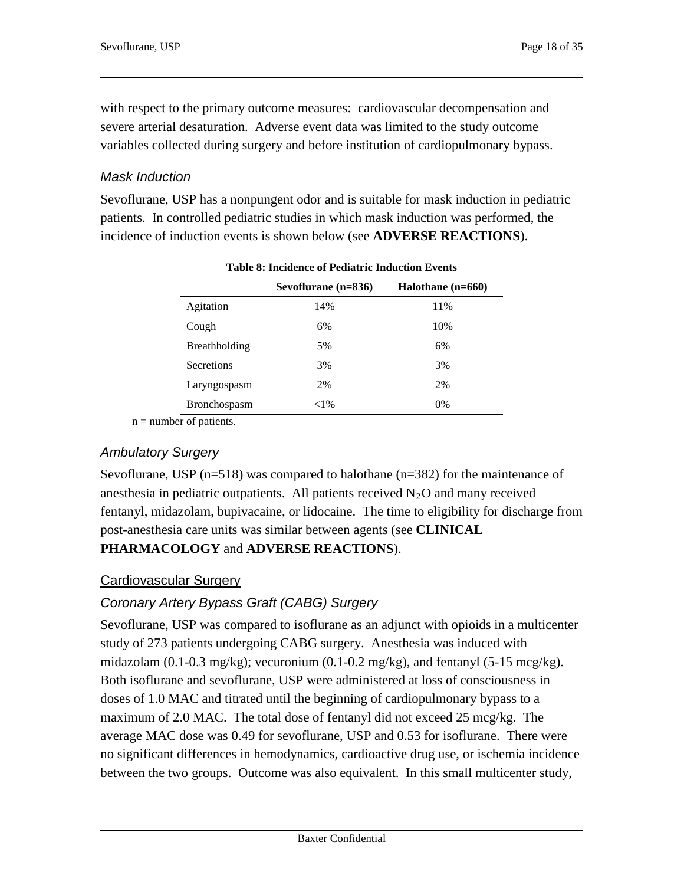with respect to the primary outcome measures: cardiovascular decompensation and severe arterial desaturation. Adverse event data was limited to the study outcome variables collected during surgery and before institution of cardiopulmonary bypass.

### *Mask Induction*

Sevoflurane, USP has a nonpungent odor and is suitable for mask induction in pediatric patients. In controlled pediatric studies in which mask induction was performed, the incidence of induction events is shown below (see **ADVERSE REACTIONS**).

|                      | Sevoflurane $(n=836)$ | Halothane (n=660) |
|----------------------|-----------------------|-------------------|
| Agitation            | 14%                   | 11%               |
| Cough                | 6%                    | 10%               |
| <b>Breathholding</b> | 5%                    | 6%                |
| <b>Secretions</b>    | 3%                    | 3%                |
| Laryngospasm         | 2%                    | 2%                |
| <b>Bronchospasm</b>  | ${<}1\%$              | 0%                |

| <b>Table 8: Incidence of Pediatric Induction Events</b> |  |
|---------------------------------------------------------|--|
|---------------------------------------------------------|--|

 $n =$  number of patients.

### *Ambulatory Surgery*

Sevoflurane, USP ( $n=518$ ) was compared to halothane ( $n=382$ ) for the maintenance of anesthesia in pediatric outpatients. All patients received  $N_2O$  and many received fentanyl, midazolam, bupivacaine, or lidocaine. The time to eligibility for discharge from post-anesthesia care units was similar between agents (see **CLINICAL** 

### **PHARMACOLOGY** and **ADVERSE REACTIONS**).

### Cardiovascular Surgery

# *Coronary Artery Bypass Graft (CABG) Surgery*

Sevoflurane, USP was compared to isoflurane as an adjunct with opioids in a multicenter study of 273 patients undergoing CABG surgery. Anesthesia was induced with midazolam (0.1-0.3 mg/kg); vecuronium (0.1-0.2 mg/kg), and fentanyl (5-15 mcg/kg). Both isoflurane and sevoflurane, USP were administered at loss of consciousness in doses of 1.0 MAC and titrated until the beginning of cardiopulmonary bypass to a maximum of 2.0 MAC. The total dose of fentanyl did not exceed 25 mcg/kg. The average MAC dose was 0.49 for sevoflurane, USP and 0.53 for isoflurane. There were no significant differences in hemodynamics, cardioactive drug use, or ischemia incidence between the two groups. Outcome was also equivalent. In this small multicenter study,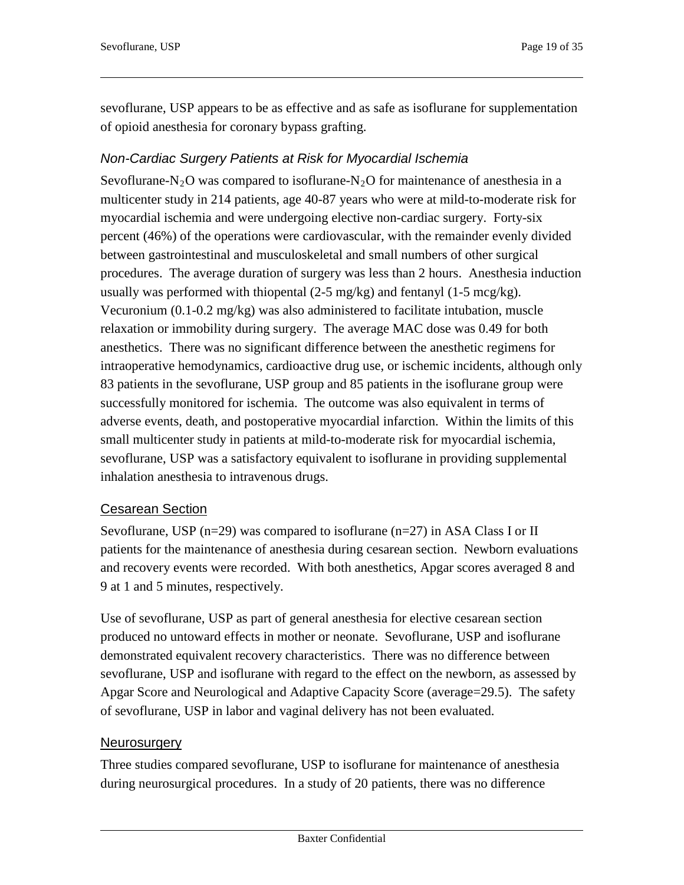sevoflurane, USP appears to be as effective and as safe as isoflurane for supplementation of opioid anesthesia for coronary bypass grafting.

# *Non-Cardiac Surgery Patients at Risk for Myocardial Ischemia*

Sevoflurane-N<sub>2</sub>O was compared to isoflurane-N<sub>2</sub>O for maintenance of anesthesia in a multicenter study in 214 patients, age 40-87 years who were at mild-to-moderate risk for myocardial ischemia and were undergoing elective non-cardiac surgery. Forty-six percent (46%) of the operations were cardiovascular, with the remainder evenly divided between gastrointestinal and musculoskeletal and small numbers of other surgical procedures. The average duration of surgery was less than 2 hours. Anesthesia induction usually was performed with thiopental  $(2-5 \text{ mg/kg})$  and fentanyl  $(1-5 \text{ mcg/kg})$ . Vecuronium (0.1-0.2 mg/kg) was also administered to facilitate intubation, muscle relaxation or immobility during surgery. The average MAC dose was 0.49 for both anesthetics. There was no significant difference between the anesthetic regimens for intraoperative hemodynamics, cardioactive drug use, or ischemic incidents, although only 83 patients in the sevoflurane, USP group and 85 patients in the isoflurane group were successfully monitored for ischemia. The outcome was also equivalent in terms of adverse events, death, and postoperative myocardial infarction. Within the limits of this small multicenter study in patients at mild-to-moderate risk for myocardial ischemia, sevoflurane, USP was a satisfactory equivalent to isoflurane in providing supplemental inhalation anesthesia to intravenous drugs.

### Cesarean Section

Sevoflurane, USP (n=29) was compared to isoflurane (n=27) in ASA Class I or II patients for the maintenance of anesthesia during cesarean section. Newborn evaluations and recovery events were recorded. With both anesthetics, Apgar scores averaged 8 and 9 at 1 and 5 minutes, respectively.

Use of sevoflurane, USP as part of general anesthesia for elective cesarean section produced no untoward effects in mother or neonate. Sevoflurane, USP and isoflurane demonstrated equivalent recovery characteristics. There was no difference between sevoflurane, USP and isoflurane with regard to the effect on the newborn, as assessed by Apgar Score and Neurological and Adaptive Capacity Score (average=29.5). The safety of sevoflurane, USP in labor and vaginal delivery has not been evaluated.

### **Neurosurgery**

Three studies compared sevoflurane, USP to isoflurane for maintenance of anesthesia during neurosurgical procedures. In a study of 20 patients, there was no difference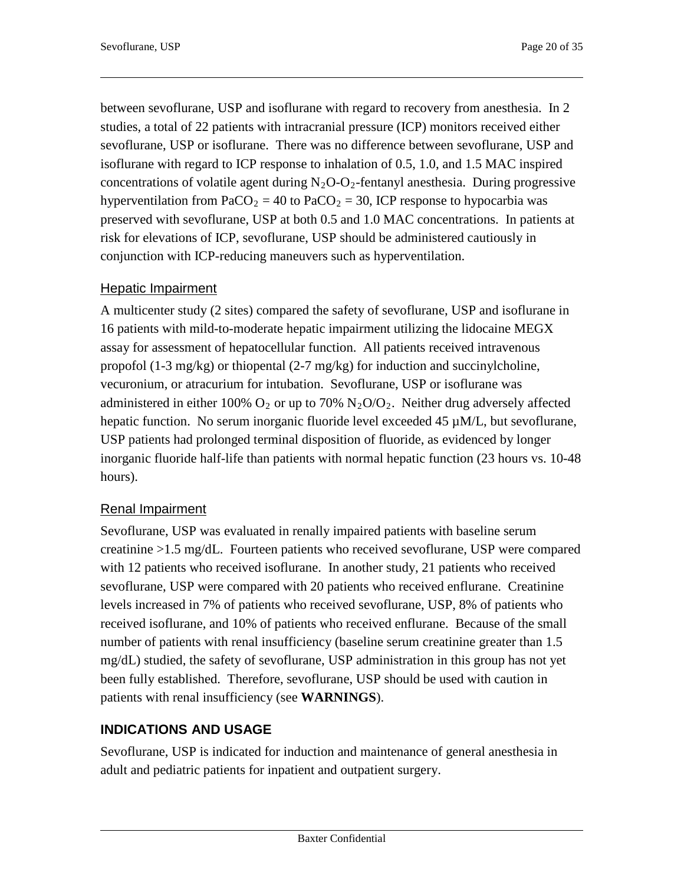between sevoflurane, USP and isoflurane with regard to recovery from anesthesia. In 2 studies, a total of 22 patients with intracranial pressure (ICP) monitors received either sevoflurane, USP or isoflurane. There was no difference between sevoflurane, USP and isoflurane with regard to ICP response to inhalation of 0.5, 1.0, and 1.5 MAC inspired concentrations of volatile agent during  $N_2O-O_2$ -fentanyl anesthesia. During progressive hyperventilation from  $PaCO<sub>2</sub> = 40$  to  $PaCO<sub>2</sub> = 30$ , ICP response to hypocarbia was preserved with sevoflurane, USP at both 0.5 and 1.0 MAC concentrations. In patients at risk for elevations of ICP, sevoflurane, USP should be administered cautiously in conjunction with ICP-reducing maneuvers such as hyperventilation.

### **Hepatic Impairment**

A multicenter study (2 sites) compared the safety of sevoflurane, USP and isoflurane in 16 patients with mild-to-moderate hepatic impairment utilizing the lidocaine MEGX assay for assessment of hepatocellular function. All patients received intravenous propofol (1-3 mg/kg) or thiopental (2-7 mg/kg) for induction and succinylcholine, vecuronium, or atracurium for intubation. Sevoflurane, USP or isoflurane was administered in either 100%  $O_2$  or up to 70%  $N_2O/O_2$ . Neither drug adversely affected hepatic function. No serum inorganic fluoride level exceeded  $45 \mu M/L$ , but sevoflurane, USP patients had prolonged terminal disposition of fluoride, as evidenced by longer inorganic fluoride half-life than patients with normal hepatic function (23 hours vs. 10-48 hours).

### Renal Impairment

Sevoflurane, USP was evaluated in renally impaired patients with baseline serum creatinine >1.5 mg/dL. Fourteen patients who received sevoflurane, USP were compared with 12 patients who received isoflurane. In another study, 21 patients who received sevoflurane, USP were compared with 20 patients who received enflurane. Creatinine levels increased in 7% of patients who received sevoflurane, USP, 8% of patients who received isoflurane, and 10% of patients who received enflurane. Because of the small number of patients with renal insufficiency (baseline serum creatinine greater than 1.5 mg/dL) studied, the safety of sevoflurane, USP administration in this group has not yet been fully established. Therefore, sevoflurane, USP should be used with caution in patients with renal insufficiency (see **WARNINGS**).

# **INDICATIONS AND USAGE**

Sevoflurane, USP is indicated for induction and maintenance of general anesthesia in adult and pediatric patients for inpatient and outpatient surgery.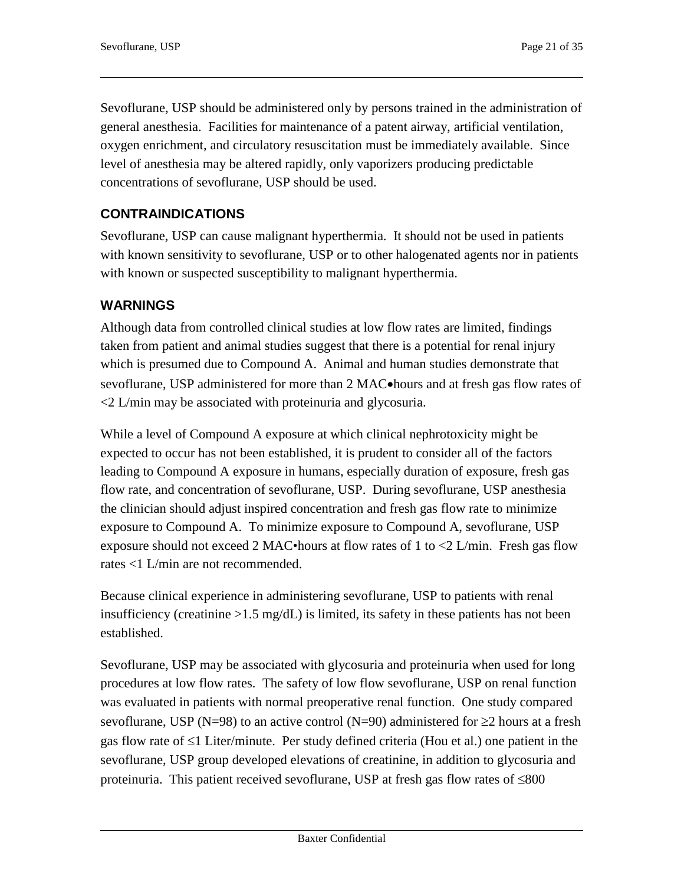Sevoflurane, USP should be administered only by persons trained in the administration of general anesthesia. Facilities for maintenance of a patent airway, artificial ventilation, oxygen enrichment, and circulatory resuscitation must be immediately available. Since level of anesthesia may be altered rapidly, only vaporizers producing predictable concentrations of sevoflurane, USP should be used.

# **CONTRAINDICATIONS**

Sevoflurane, USP can cause malignant hyperthermia. It should not be used in patients with known sensitivity to sevoflurane, USP or to other halogenated agents nor in patients with known or suspected susceptibility to malignant hyperthermia.

### **WARNINGS**

Although data from controlled clinical studies at low flow rates are limited, findings taken from patient and animal studies suggest that there is a potential for renal injury which is presumed due to Compound A. Animal and human studies demonstrate that sevoflurane, USP administered for more than 2 MAC•hours and at fresh gas flow rates of <2 L/min may be associated with proteinuria and glycosuria.

While a level of Compound A exposure at which clinical nephrotoxicity might be expected to occur has not been established, it is prudent to consider all of the factors leading to Compound A exposure in humans, especially duration of exposure, fresh gas flow rate, and concentration of sevoflurane, USP. During sevoflurane, USP anesthesia the clinician should adjust inspired concentration and fresh gas flow rate to minimize exposure to Compound A. To minimize exposure to Compound A, sevoflurane, USP exposure should not exceed 2 MAC•hours at flow rates of 1 to <2 L/min. Fresh gas flow rates <1 L/min are not recommended.

Because clinical experience in administering sevoflurane, USP to patients with renal insufficiency (creatinine  $>1.5$  mg/dL) is limited, its safety in these patients has not been established.

Sevoflurane, USP may be associated with glycosuria and proteinuria when used for long procedures at low flow rates. The safety of low flow sevoflurane, USP on renal function was evaluated in patients with normal preoperative renal function. One study compared sevoflurane, USP (N=98) to an active control (N=90) administered for  $\geq$ 2 hours at a fresh gas flow rate of ≤1 Liter/minute. Per study defined criteria (Hou et al.) one patient in the sevoflurane, USP group developed elevations of creatinine, in addition to glycosuria and proteinuria. This patient received sevoflurane, USP at fresh gas flow rates of ≤800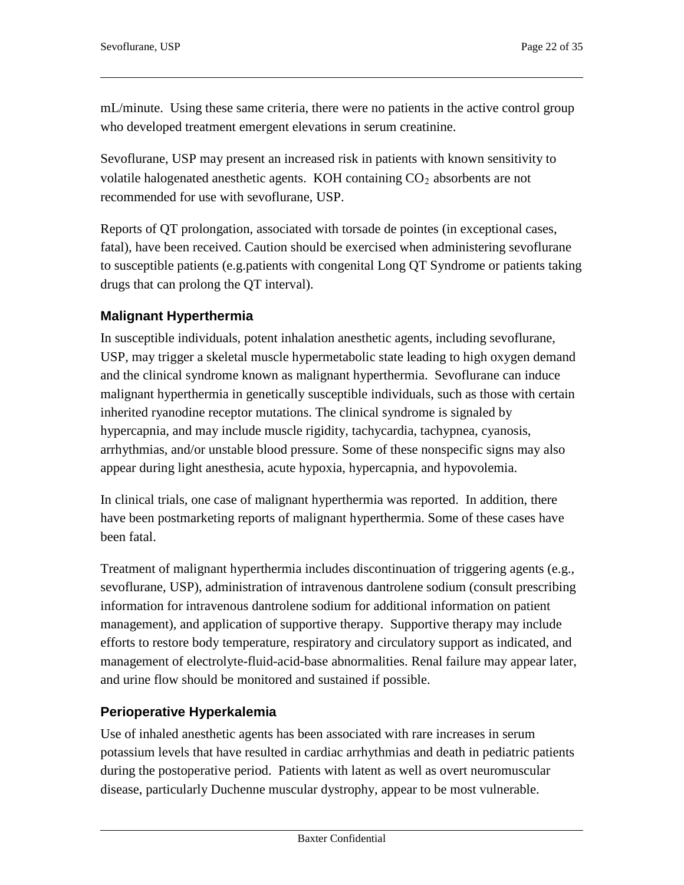mL/minute. Using these same criteria, there were no patients in the active control group who developed treatment emergent elevations in serum creatinine.

Sevoflurane, USP may present an increased risk in patients with known sensitivity to volatile halogenated anesthetic agents. KOH containing  $CO<sub>2</sub>$  absorbents are not recommended for use with sevoflurane, USP.

Reports of QT prolongation, associated with torsade de pointes (in exceptional cases, fatal), have been received. Caution should be exercised when administering sevoflurane to susceptible patients (e.g.patients with congenital Long QT Syndrome or patients taking drugs that can prolong the QT interval).

# **Malignant Hyperthermia**

In susceptible individuals, potent inhalation anesthetic agents, including sevoflurane, USP, may trigger a skeletal muscle hypermetabolic state leading to high oxygen demand and the clinical syndrome known as malignant hyperthermia. Sevoflurane can induce malignant hyperthermia in genetically susceptible individuals, such as those with certain inherited ryanodine receptor mutations. The clinical syndrome is signaled by hypercapnia, and may include muscle rigidity, tachycardia, tachypnea, cyanosis, arrhythmias, and/or unstable blood pressure. Some of these nonspecific signs may also appear during light anesthesia, acute hypoxia, hypercapnia, and hypovolemia.

In clinical trials, one case of malignant hyperthermia was reported. In addition, there have been postmarketing reports of malignant hyperthermia. Some of these cases have been fatal.

Treatment of malignant hyperthermia includes discontinuation of triggering agents (e.g., sevoflurane, USP), administration of intravenous dantrolene sodium (consult prescribing information for intravenous dantrolene sodium for additional information on patient management), and application of supportive therapy. Supportive therapy may include efforts to restore body temperature, respiratory and circulatory support as indicated, and management of electrolyte-fluid-acid-base abnormalities. Renal failure may appear later, and urine flow should be monitored and sustained if possible.

### **Perioperative Hyperkalemia**

Use of inhaled anesthetic agents has been associated with rare increases in serum potassium levels that have resulted in cardiac arrhythmias and death in pediatric patients during the postoperative period. Patients with latent as well as overt neuromuscular disease, particularly Duchenne muscular dystrophy, appear to be most vulnerable.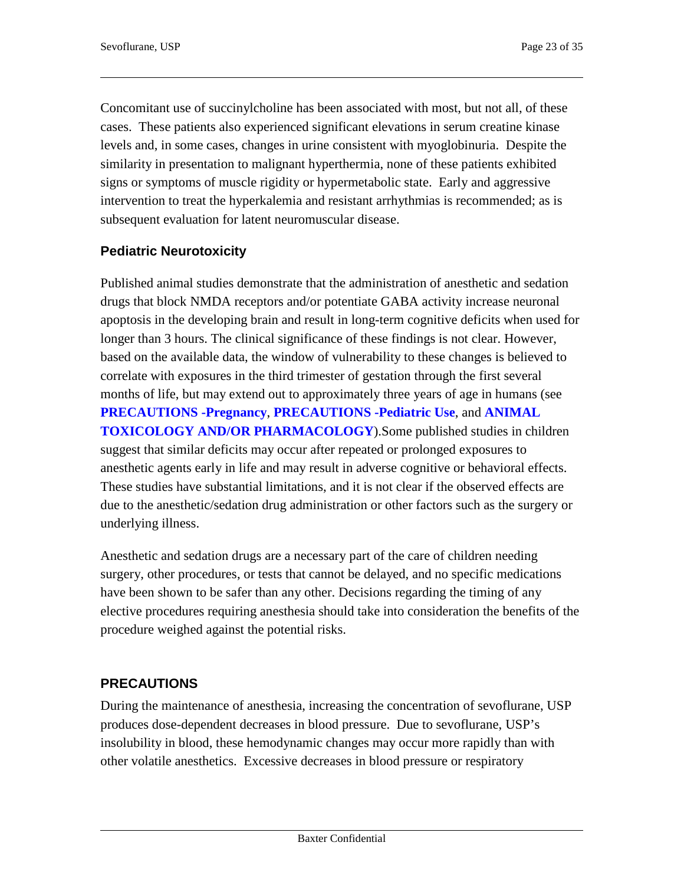Concomitant use of succinylcholine has been associated with most, but not all, of these cases. These patients also experienced significant elevations in serum creatine kinase levels and, in some cases, changes in urine consistent with myoglobinuria. Despite the similarity in presentation to malignant hyperthermia, none of these patients exhibited signs or symptoms of muscle rigidity or hypermetabolic state. Early and aggressive intervention to treat the hyperkalemia and resistant arrhythmias is recommended; as is subsequent evaluation for latent neuromuscular disease.

# **Pediatric Neurotoxicity**

Published animal studies demonstrate that the administration of anesthetic and sedation drugs that block NMDA receptors and/or potentiate GABA activity increase neuronal apoptosis in the developing brain and result in long-term cognitive deficits when used for longer than 3 hours. The clinical significance of these findings is not clear. However, based on the available data, the window of vulnerability to these changes is believed to correlate with exposures in the third trimester of gestation through the first several months of life, but may extend out to approximately three years of age in humans (see **PRECAUTIONS -Pregnancy**, **PRECAUTIONS -Pediatric Use**, and **ANIMAL TOXICOLOGY AND/OR PHARMACOLOGY**).Some published studies in children suggest that similar deficits may occur after repeated or prolonged exposures to anesthetic agents early in life and may result in adverse cognitive or behavioral effects. These studies have substantial limitations, and it is not clear if the observed effects are due to the anesthetic/sedation drug administration or other factors such as the surgery or underlying illness.

Anesthetic and sedation drugs are a necessary part of the care of children needing surgery, other procedures, or tests that cannot be delayed, and no specific medications have been shown to be safer than any other. Decisions regarding the timing of any elective procedures requiring anesthesia should take into consideration the benefits of the procedure weighed against the potential risks.

### **PRECAUTIONS**

During the maintenance of anesthesia, increasing the concentration of sevoflurane, USP produces dose-dependent decreases in blood pressure. Due to sevoflurane, USP's insolubility in blood, these hemodynamic changes may occur more rapidly than with other volatile anesthetics. Excessive decreases in blood pressure or respiratory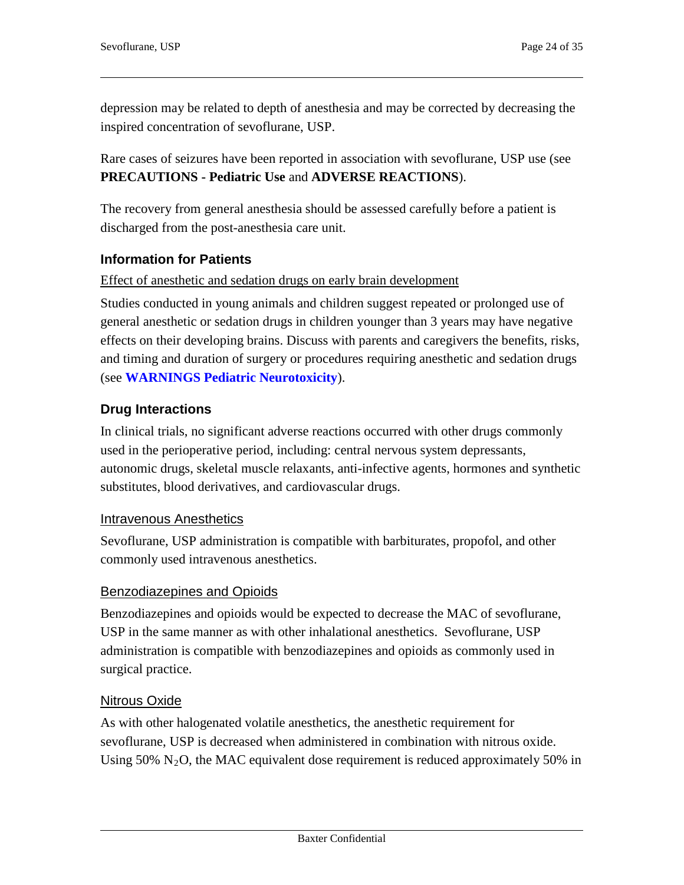depression may be related to depth of anesthesia and may be corrected by decreasing the inspired concentration of sevoflurane, USP.

Rare cases of seizures have been reported in association with sevoflurane, USP use (see **PRECAUTIONS - Pediatric Use** and **ADVERSE REACTIONS**).

The recovery from general anesthesia should be assessed carefully before a patient is discharged from the post-anesthesia care unit.

### **Information for Patients**

#### Effect of anesthetic and sedation drugs on early brain development

Studies conducted in young animals and children suggest repeated or prolonged use of general anesthetic or sedation drugs in children younger than 3 years may have negative effects on their developing brains. Discuss with parents and caregivers the benefits, risks, and timing and duration of surgery or procedures requiring anesthetic and sedation drugs (see **WARNINGS Pediatric Neurotoxicity**).

### **Drug Interactions**

In clinical trials, no significant adverse reactions occurred with other drugs commonly used in the perioperative period, including: central nervous system depressants, autonomic drugs, skeletal muscle relaxants, anti-infective agents, hormones and synthetic substitutes, blood derivatives, and cardiovascular drugs.

### Intravenous Anesthetics

Sevoflurane, USP administration is compatible with barbiturates, propofol, and other commonly used intravenous anesthetics.

### Benzodiazepines and Opioids

Benzodiazepines and opioids would be expected to decrease the MAC of sevoflurane, USP in the same manner as with other inhalational anesthetics. Sevoflurane, USP administration is compatible with benzodiazepines and opioids as commonly used in surgical practice.

### Nitrous Oxide

As with other halogenated volatile anesthetics, the anesthetic requirement for sevoflurane, USP is decreased when administered in combination with nitrous oxide. Using 50%  $N_2O$ , the MAC equivalent dose requirement is reduced approximately 50% in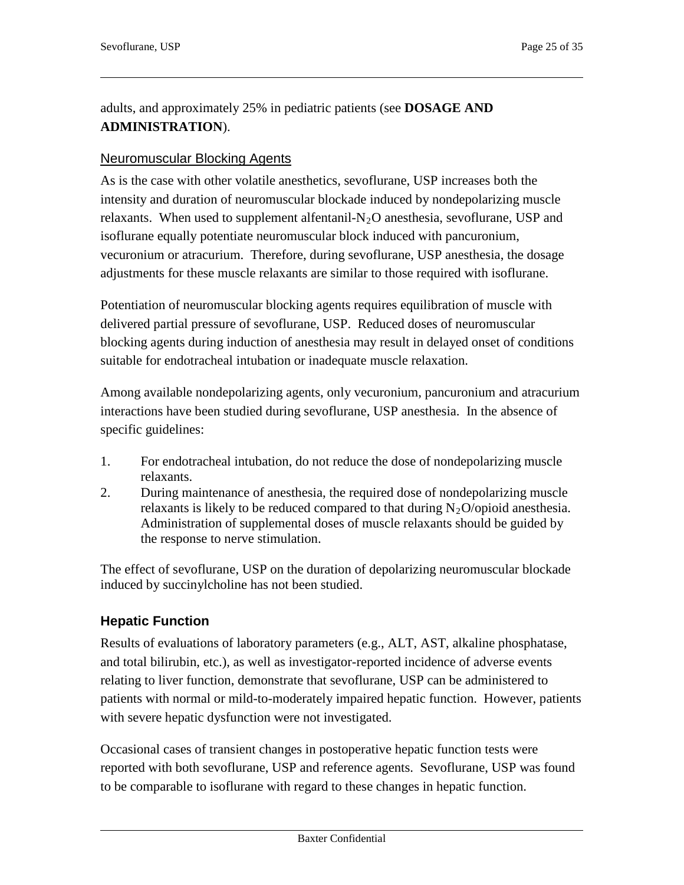adults, and approximately 25% in pediatric patients (see **DOSAGE AND ADMINISTRATION**).

#### Neuromuscular Blocking Agents

As is the case with other volatile anesthetics, sevoflurane, USP increases both the intensity and duration of neuromuscular blockade induced by nondepolarizing muscle relaxants. When used to supplement alfentanil- $N<sub>2</sub>O$  anesthesia, sevoflurane, USP and isoflurane equally potentiate neuromuscular block induced with pancuronium, vecuronium or atracurium. Therefore, during sevoflurane, USP anesthesia, the dosage adjustments for these muscle relaxants are similar to those required with isoflurane.

Potentiation of neuromuscular blocking agents requires equilibration of muscle with delivered partial pressure of sevoflurane, USP. Reduced doses of neuromuscular blocking agents during induction of anesthesia may result in delayed onset of conditions suitable for endotracheal intubation or inadequate muscle relaxation.

Among available nondepolarizing agents, only vecuronium, pancuronium and atracurium interactions have been studied during sevoflurane, USP anesthesia. In the absence of specific guidelines:

- 1. For endotracheal intubation, do not reduce the dose of nondepolarizing muscle relaxants.
- 2. During maintenance of anesthesia, the required dose of nondepolarizing muscle relaxants is likely to be reduced compared to that during  $N_2O$ /opioid anesthesia. Administration of supplemental doses of muscle relaxants should be guided by the response to nerve stimulation.

The effect of sevoflurane, USP on the duration of depolarizing neuromuscular blockade induced by succinylcholine has not been studied.

### **Hepatic Function**

Results of evaluations of laboratory parameters (e.g., ALT, AST, alkaline phosphatase, and total bilirubin, etc.), as well as investigator-reported incidence of adverse events relating to liver function, demonstrate that sevoflurane, USP can be administered to patients with normal or mild-to-moderately impaired hepatic function. However, patients with severe hepatic dysfunction were not investigated.

Occasional cases of transient changes in postoperative hepatic function tests were reported with both sevoflurane, USP and reference agents. Sevoflurane, USP was found to be comparable to isoflurane with regard to these changes in hepatic function.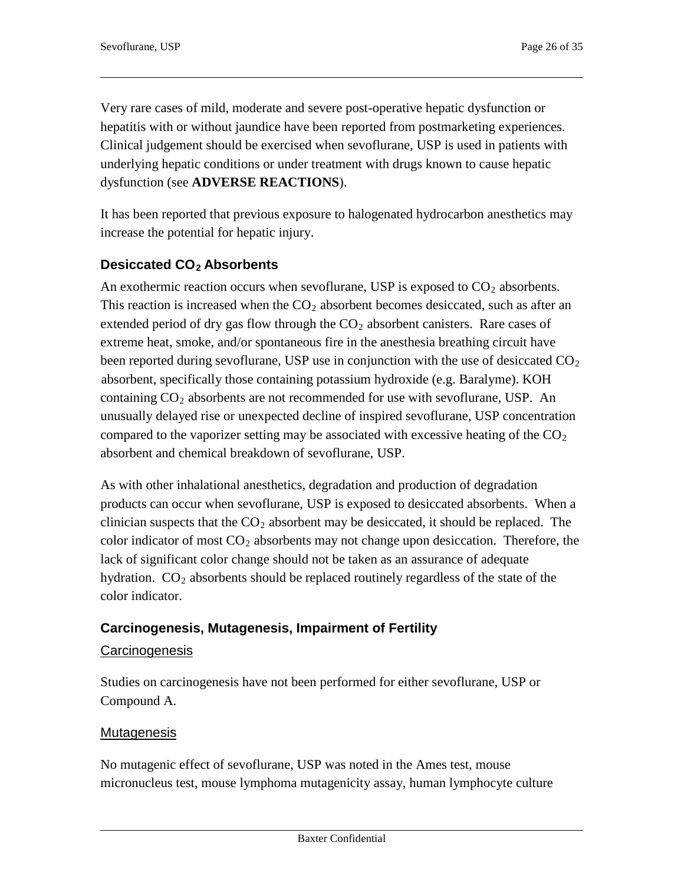Very rare cases of mild, moderate and severe post-operative hepatic dysfunction or hepatitis with or without jaundice have been reported from postmarketing experiences. Clinical judgement should be exercised when sevoflurane, USP is used in patients with underlying hepatic conditions or under treatment with drugs known to cause hepatic dysfunction (see **ADVERSE REACTIONS**).

It has been reported that previous exposure to halogenated hydrocarbon anesthetics may increase the potential for hepatic injury.

### Desiccated CO<sub>2</sub> Absorbents

An exothermic reaction occurs when sevoflurane, USP is exposed to  $CO<sub>2</sub>$  absorbents. This reaction is increased when the  $CO<sub>2</sub>$  absorbent becomes desiccated, such as after an extended period of dry gas flow through the  $CO<sub>2</sub>$  absorbent canisters. Rare cases of extreme heat, smoke, and/or spontaneous fire in the anesthesia breathing circuit have been reported during sevoflurane, USP use in conjunction with the use of desiccated  $CO<sub>2</sub>$ absorbent, specifically those containing potassium hydroxide (e.g. Baralyme). KOH containing  $CO<sub>2</sub>$  absorbents are not recommended for use with sevoflurane, USP. An unusually delayed rise or unexpected decline of inspired sevoflurane, USP concentration compared to the vaporizer setting may be associated with excessive heating of the  $CO<sub>2</sub>$ absorbent and chemical breakdown of sevoflurane, USP.

As with other inhalational anesthetics, degradation and production of degradation products can occur when sevoflurane, USP is exposed to desiccated absorbents. When a clinician suspects that the  $CO<sub>2</sub>$  absorbent may be desiccated, it should be replaced. The color indicator of most  $CO<sub>2</sub>$  absorbents may not change upon desiccation. Therefore, the lack of significant color change should not be taken as an assurance of adequate hydration.  $CO<sub>2</sub>$  absorbents should be replaced routinely regardless of the state of the color indicator.

### **Carcinogenesis, Mutagenesis, Impairment of Fertility**

### **Carcinogenesis**

Studies on carcinogenesis have not been performed for either sevoflurane, USP or Compound A.

### Mutagenesis

No mutagenic effect of sevoflurane, USP was noted in the Ames test, mouse micronucleus test, mouse lymphoma mutagenicity assay, human lymphocyte culture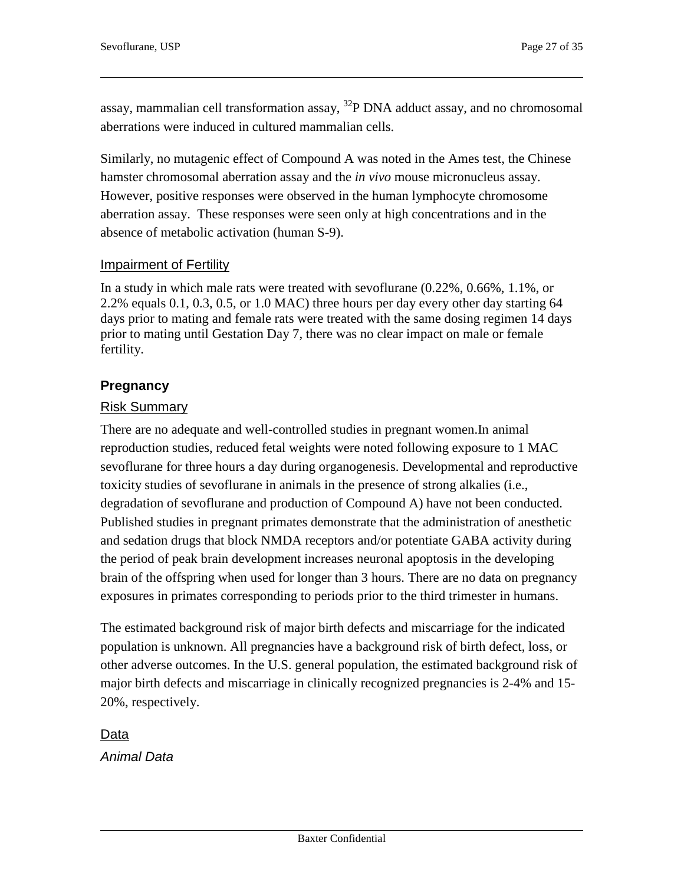assay, mammalian cell transformation assay, 32P DNA adduct assay, and no chromosomal aberrations were induced in cultured mammalian cells.

Similarly, no mutagenic effect of Compound A was noted in the Ames test, the Chinese hamster chromosomal aberration assay and the *in vivo* mouse micronucleus assay. However, positive responses were observed in the human lymphocyte chromosome aberration assay. These responses were seen only at high concentrations and in the absence of metabolic activation (human S-9).

#### Impairment of Fertility

In a study in which male rats were treated with sevoflurane (0.22%, 0.66%, 1.1%, or 2.2% equals 0.1, 0.3, 0.5, or 1.0 MAC) three hours per day every other day starting 64 days prior to mating and female rats were treated with the same dosing regimen 14 days prior to mating until Gestation Day 7, there was no clear impact on male or female fertility.

### **Pregnancy**

#### Risk Summary

There are no adequate and well-controlled studies in pregnant women.In animal reproduction studies, reduced fetal weights were noted following exposure to 1 MAC sevoflurane for three hours a day during organogenesis. Developmental and reproductive toxicity studies of sevoflurane in animals in the presence of strong alkalies (i.e., degradation of sevoflurane and production of Compound A) have not been conducted. Published studies in pregnant primates demonstrate that the administration of anesthetic and sedation drugs that block NMDA receptors and/or potentiate GABA activity during the period of peak brain development increases neuronal apoptosis in the developing brain of the offspring when used for longer than 3 hours. There are no data on pregnancy exposures in primates corresponding to periods prior to the third trimester in humans.

The estimated background risk of major birth defects and miscarriage for the indicated population is unknown. All pregnancies have a background risk of birth defect, loss, or other adverse outcomes. In the U.S. general population, the estimated background risk of major birth defects and miscarriage in clinically recognized pregnancies is 2-4% and 15- 20%, respectively.

Data

*Animal Data*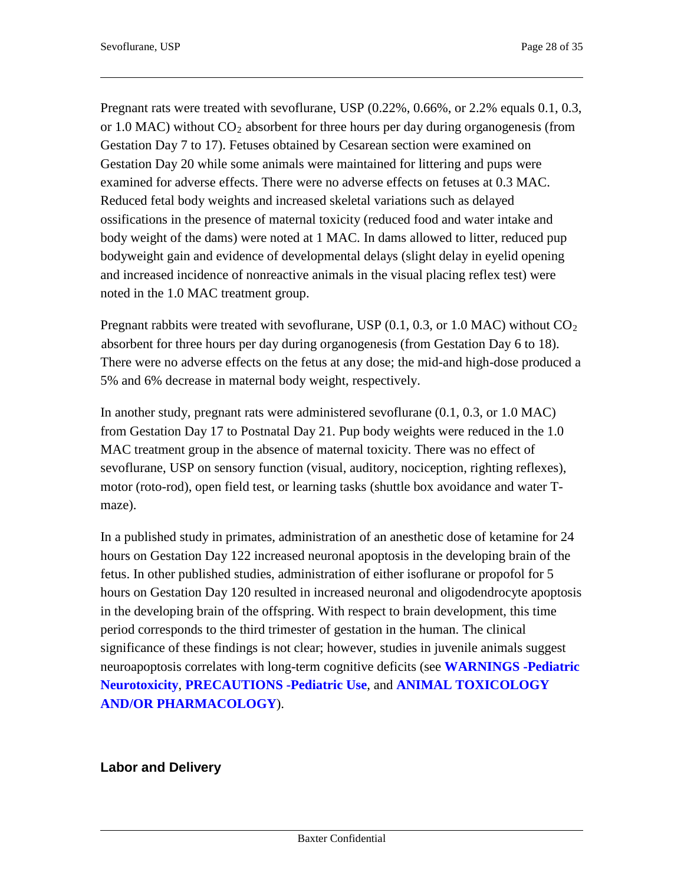Pregnant rats were treated with sevoflurane, USP (0.22%, 0.66%, or 2.2% equals 0.1, 0.3, or 1.0 MAC) without  $CO_2$  absorbent for three hours per day during organogenesis (from Gestation Day 7 to 17). Fetuses obtained by Cesarean section were examined on Gestation Day 20 while some animals were maintained for littering and pups were examined for adverse effects. There were no adverse effects on fetuses at 0.3 MAC. Reduced fetal body weights and increased skeletal variations such as delayed ossifications in the presence of maternal toxicity (reduced food and water intake and body weight of the dams) were noted at 1 MAC. In dams allowed to litter, reduced pup bodyweight gain and evidence of developmental delays (slight delay in eyelid opening and increased incidence of nonreactive animals in the visual placing reflex test) were noted in the 1.0 MAC treatment group.

Pregnant rabbits were treated with sevoflurane, USP  $(0.1, 0.3, \text{or } 1.0 \text{ MAC})$  without  $CO<sub>2</sub>$ absorbent for three hours per day during organogenesis (from Gestation Day 6 to 18). There were no adverse effects on the fetus at any dose; the mid-and high-dose produced a 5% and 6% decrease in maternal body weight, respectively.

In another study, pregnant rats were administered sevoflurane (0.1, 0.3, or 1.0 MAC) from Gestation Day 17 to Postnatal Day 21. Pup body weights were reduced in the 1.0 MAC treatment group in the absence of maternal toxicity. There was no effect of sevoflurane, USP on sensory function (visual, auditory, nociception, righting reflexes), motor (roto-rod), open field test, or learning tasks (shuttle box avoidance and water Tmaze).

In a published study in primates, administration of an anesthetic dose of ketamine for 24 hours on Gestation Day 122 increased neuronal apoptosis in the developing brain of the fetus. In other published studies, administration of either isoflurane or propofol for 5 hours on Gestation Day 120 resulted in increased neuronal and oligodendrocyte apoptosis in the developing brain of the offspring. With respect to brain development, this time period corresponds to the third trimester of gestation in the human. The clinical significance of these findings is not clear; however, studies in juvenile animals suggest neuroapoptosis correlates with long-term cognitive deficits (see **WARNINGS -Pediatric Neurotoxicity**, **PRECAUTIONS -Pediatric Use**, and **ANIMAL TOXICOLOGY AND/OR PHARMACOLOGY**).

### **Labor and Delivery**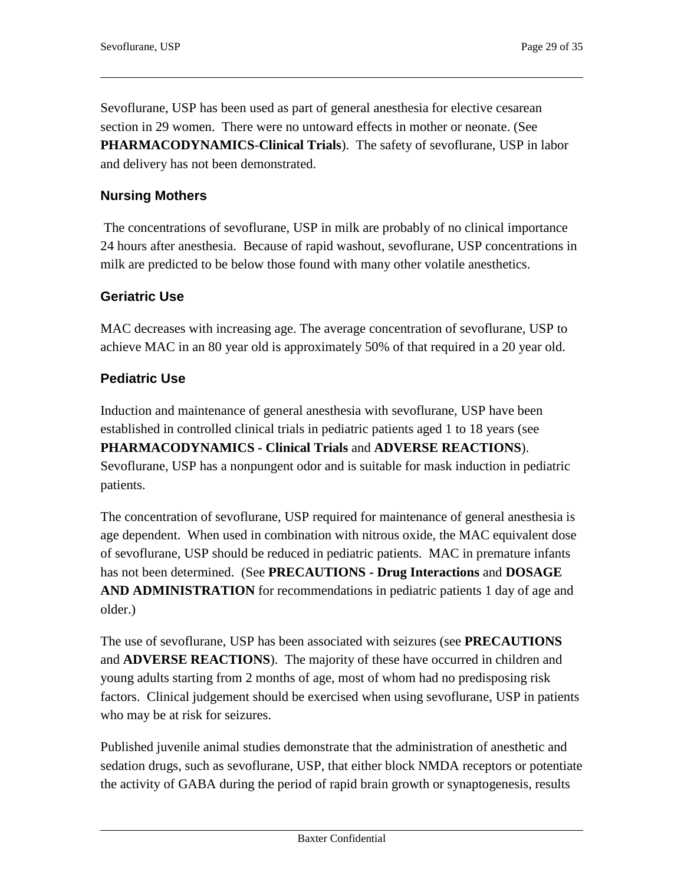Sevoflurane, USP has been used as part of general anesthesia for elective cesarean section in 29 women. There were no untoward effects in mother or neonate. (See **PHARMACODYNAMICS**-**Clinical Trials**). The safety of sevoflurane, USP in labor and delivery has not been demonstrated.

### **Nursing Mothers**

The concentrations of sevoflurane, USP in milk are probably of no clinical importance 24 hours after anesthesia. Because of rapid washout, sevoflurane, USP concentrations in milk are predicted to be below those found with many other volatile anesthetics.

#### **Geriatric Use**

MAC decreases with increasing age. The average concentration of sevoflurane, USP to achieve MAC in an 80 year old is approximately 50% of that required in a 20 year old.

### **Pediatric Use**

Induction and maintenance of general anesthesia with sevoflurane, USP have been established in controlled clinical trials in pediatric patients aged 1 to 18 years (see

**PHARMACODYNAMICS - Clinical Trials** and **ADVERSE REACTIONS**). Sevoflurane, USP has a nonpungent odor and is suitable for mask induction in pediatric patients.

The concentration of sevoflurane, USP required for maintenance of general anesthesia is age dependent. When used in combination with nitrous oxide, the MAC equivalent dose of sevoflurane, USP should be reduced in pediatric patients. MAC in premature infants has not been determined. (See **PRECAUTIONS - Drug Interactions** and **DOSAGE AND ADMINISTRATION** for recommendations in pediatric patients 1 day of age and older.)

The use of sevoflurane, USP has been associated with seizures (see **PRECAUTIONS** and **ADVERSE REACTIONS**). The majority of these have occurred in children and young adults starting from 2 months of age, most of whom had no predisposing risk factors. Clinical judgement should be exercised when using sevoflurane, USP in patients who may be at risk for seizures.

Published juvenile animal studies demonstrate that the administration of anesthetic and sedation drugs, such as sevoflurane, USP, that either block NMDA receptors or potentiate the activity of GABA during the period of rapid brain growth or synaptogenesis, results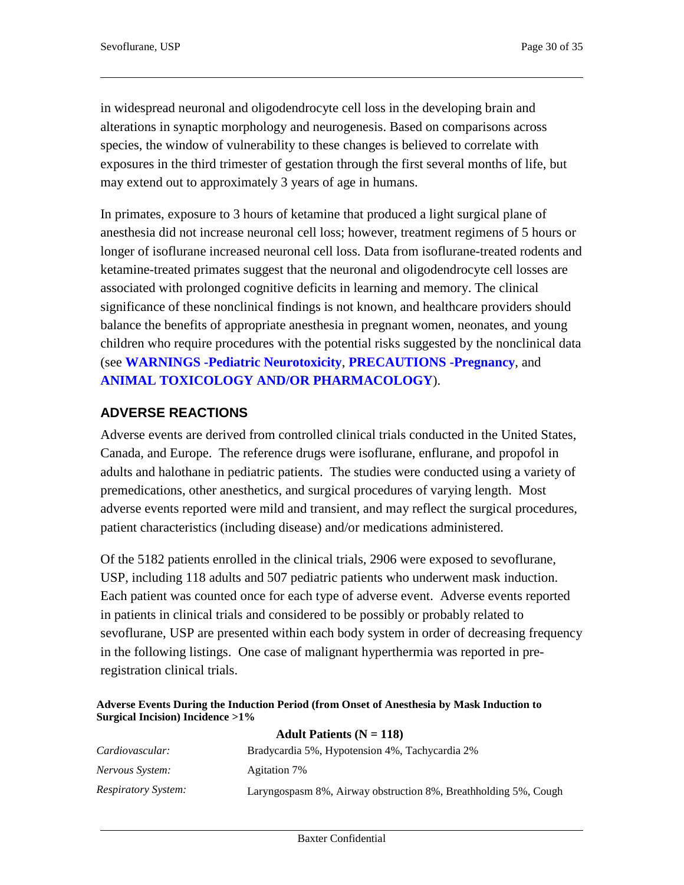in widespread neuronal and oligodendrocyte cell loss in the developing brain and alterations in synaptic morphology and neurogenesis. Based on comparisons across species, the window of vulnerability to these changes is believed to correlate with exposures in the third trimester of gestation through the first several months of life, but may extend out to approximately 3 years of age in humans.

In primates, exposure to 3 hours of ketamine that produced a light surgical plane of anesthesia did not increase neuronal cell loss; however, treatment regimens of 5 hours or longer of isoflurane increased neuronal cell loss. Data from isoflurane-treated rodents and ketamine-treated primates suggest that the neuronal and oligodendrocyte cell losses are associated with prolonged cognitive deficits in learning and memory. The clinical significance of these nonclinical findings is not known, and healthcare providers should balance the benefits of appropriate anesthesia in pregnant women, neonates, and young children who require procedures with the potential risks suggested by the nonclinical data (see **WARNINGS -Pediatric Neurotoxicity**, **PRECAUTIONS -Pregnancy**, and **ANIMAL TOXICOLOGY AND/OR PHARMACOLOGY**).

### **ADVERSE REACTIONS**

Adverse events are derived from controlled clinical trials conducted in the United States, Canada, and Europe. The reference drugs were isoflurane, enflurane, and propofol in adults and halothane in pediatric patients. The studies were conducted using a variety of premedications, other anesthetics, and surgical procedures of varying length. Most adverse events reported were mild and transient, and may reflect the surgical procedures, patient characteristics (including disease) and/or medications administered.

Of the 5182 patients enrolled in the clinical trials, 2906 were exposed to sevoflurane, USP, including 118 adults and 507 pediatric patients who underwent mask induction. Each patient was counted once for each type of adverse event. Adverse events reported in patients in clinical trials and considered to be possibly or probably related to sevoflurane, USP are presented within each body system in order of decreasing frequency in the following listings. One case of malignant hyperthermia was reported in preregistration clinical trials.

#### **Adverse Events During the Induction Period (from Onset of Anesthesia by Mask Induction to Surgical Incision) Incidence >1%**

| Adult Patients ( $N = 118$ ) |                                                                 |  |  |
|------------------------------|-----------------------------------------------------------------|--|--|
| Cardiovascular:              | Bradycardia 5%, Hypotension 4%, Tachycardia 2%                  |  |  |
| Nervous System:              | Agitation 7\%                                                   |  |  |
| <i>Respiratory System:</i>   | Laryngospasm 8%, Airway obstruction 8%, Breathholding 5%, Cough |  |  |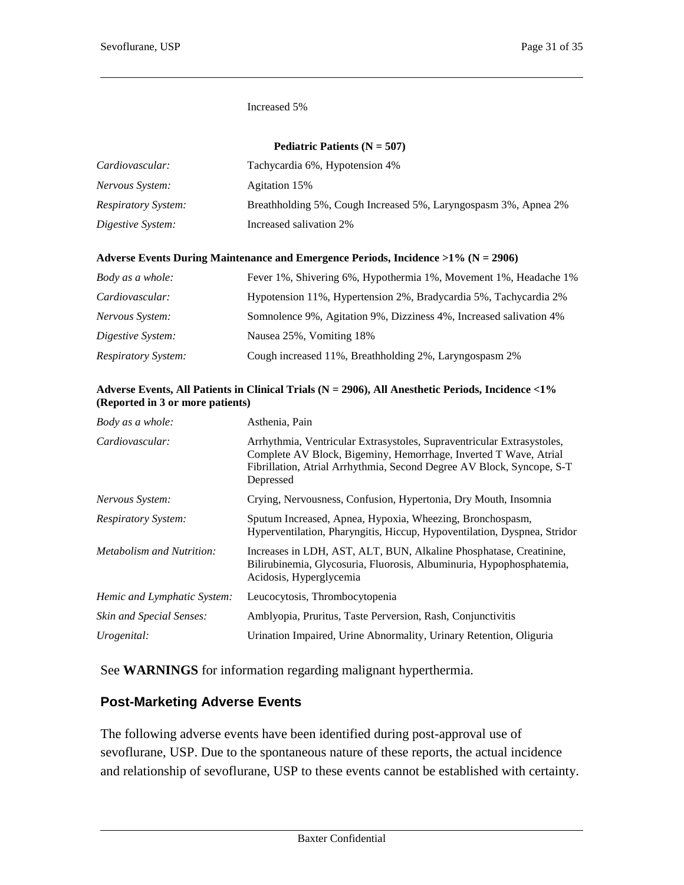#### Increased 5%

| Pediatric Patients ( $N = 507$ ) |                                                                 |  |  |
|----------------------------------|-----------------------------------------------------------------|--|--|
| Cardiovascular:                  | Tachycardia 6%, Hypotension 4%                                  |  |  |
| Nervous System:                  | Agitation 15%                                                   |  |  |
| <i>Respiratory System:</i>       | Breathholding 5%, Cough Increased 5%, Laryngospasm 3%, Apnea 2% |  |  |
| Digestive System:                | Increased salivation 2%                                         |  |  |

#### **Adverse Events During Maintenance and Emergence Periods, Incidence >1% (N = 2906)**

| Body as a whole:           | Fever 1%, Shivering 6%, Hypothermia 1%, Movement 1%, Headache 1%   |
|----------------------------|--------------------------------------------------------------------|
| Cardiovascular:            | Hypotension 11%, Hypertension 2%, Bradycardia 5%, Tachycardia 2%   |
| Nervous System:            | Somnolence 9%, Agitation 9%, Dizziness 4%, Increased salivation 4% |
| Digestive System:          | Nausea 25%, Vomiting 18%                                           |
| <i>Respiratory System:</i> | Cough increased 11%, Breathholding 2%, Laryngospasm 2%             |

#### **Adverse Events, All Patients in Clinical Trials (N = 2906), All Anesthetic Periods, Incidence <1% (Reported in 3 or more patients)**

| Body as a whole:                 | Asthenia, Pain                                                                                                                                                                                                                   |
|----------------------------------|----------------------------------------------------------------------------------------------------------------------------------------------------------------------------------------------------------------------------------|
| Cardiovascular:                  | Arrhythmia, Ventricular Extrasystoles, Supraventricular Extrasystoles,<br>Complete AV Block, Bigeminy, Hemorrhage, Inverted T Wave, Atrial<br>Fibrillation, Atrial Arrhythmia, Second Degree AV Block, Syncope, S-T<br>Depressed |
| Nervous System:                  | Crying, Nervousness, Confusion, Hypertonia, Dry Mouth, Insomnia                                                                                                                                                                  |
| <i>Respiratory System:</i>       | Sputum Increased, Apnea, Hypoxia, Wheezing, Bronchospasm,<br>Hyperventilation, Pharyngitis, Hiccup, Hypoventilation, Dyspnea, Stridor                                                                                            |
| <i>Metabolism and Nutrition:</i> | Increases in LDH, AST, ALT, BUN, Alkaline Phosphatase, Creatinine,<br>Bilirubinemia, Glycosuria, Fluorosis, Albuminuria, Hypophosphatemia,<br>Acidosis, Hyperglycemia                                                            |
| Hemic and Lymphatic System:      | Leucocytosis, Thrombocytopenia                                                                                                                                                                                                   |
| Skin and Special Senses:         | Amblyopia, Pruritus, Taste Perversion, Rash, Conjunctivitis                                                                                                                                                                      |
| Urogenital:                      | Urination Impaired, Urine Abnormality, Urinary Retention, Oliguria                                                                                                                                                               |
|                                  |                                                                                                                                                                                                                                  |

See **WARNINGS** for information regarding malignant hyperthermia.

### **Post-Marketing Adverse Events**

The following adverse events have been identified during post-approval use of sevoflurane, USP. Due to the spontaneous nature of these reports, the actual incidence and relationship of sevoflurane, USP to these events cannot be established with certainty.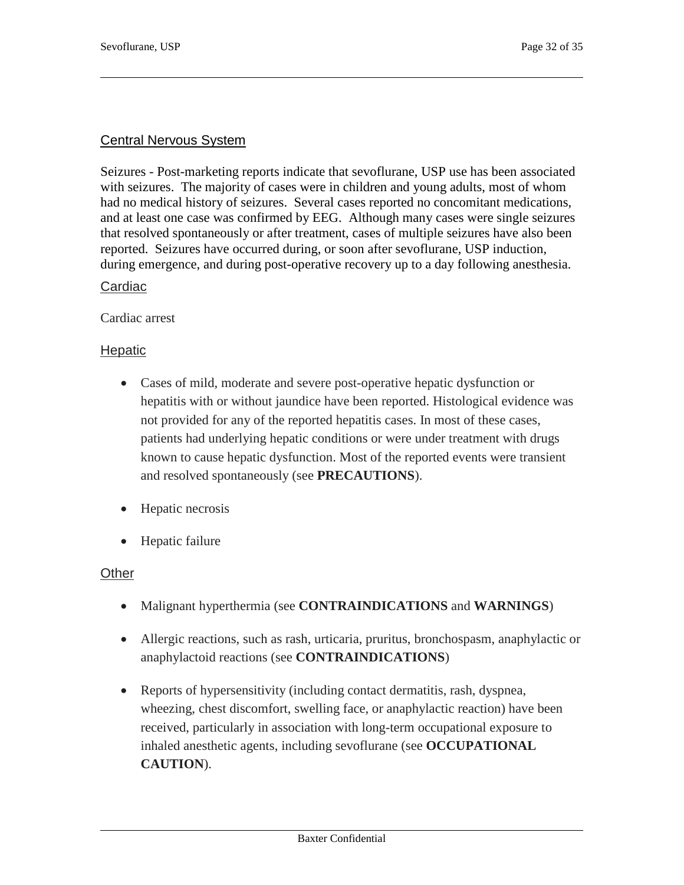#### Central Nervous System

Seizures - Post-marketing reports indicate that sevoflurane, USP use has been associated with seizures. The majority of cases were in children and young adults, most of whom had no medical history of seizures. Several cases reported no concomitant medications, and at least one case was confirmed by EEG. Although many cases were single seizures that resolved spontaneously or after treatment, cases of multiple seizures have also been reported. Seizures have occurred during, or soon after sevoflurane, USP induction, during emergence, and during post-operative recovery up to a day following anesthesia.

#### Cardiac

Cardiac arrest

#### **Hepatic**

- Cases of mild, moderate and severe post-operative hepatic dysfunction or hepatitis with or without jaundice have been reported. Histological evidence was not provided for any of the reported hepatitis cases. In most of these cases, patients had underlying hepatic conditions or were under treatment with drugs known to cause hepatic dysfunction. Most of the reported events were transient and resolved spontaneously (see **PRECAUTIONS**).
- Hepatic necrosis
- Hepatic failure

#### **Other**

- Malignant hyperthermia (see **CONTRAINDICATIONS** and **WARNINGS**)
- Allergic reactions, such as rash, urticaria, pruritus, bronchospasm, anaphylactic or anaphylactoid reactions (see **CONTRAINDICATIONS**)
- Reports of hypersensitivity (including contact dermatitis, rash, dyspnea, wheezing, chest discomfort, swelling face, or anaphylactic reaction) have been received, particularly in association with long-term occupational exposure to inhaled anesthetic agents, including sevoflurane (see **OCCUPATIONAL CAUTION**).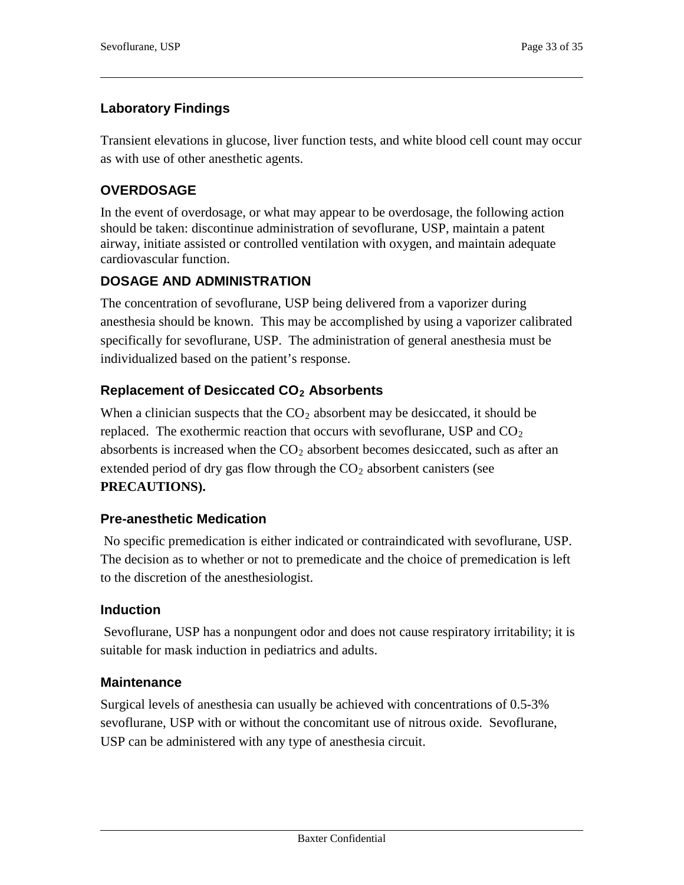### **Laboratory Findings**

Transient elevations in glucose, liver function tests, and white blood cell count may occur as with use of other anesthetic agents.

### **OVERDOSAGE**

In the event of overdosage, or what may appear to be overdosage, the following action should be taken: discontinue administration of sevoflurane, USP, maintain a patent airway, initiate assisted or controlled ventilation with oxygen, and maintain adequate cardiovascular function.

### **DOSAGE AND ADMINISTRATION**

The concentration of sevoflurane, USP being delivered from a vaporizer during anesthesia should be known. This may be accomplished by using a vaporizer calibrated specifically for sevoflurane, USP. The administration of general anesthesia must be individualized based on the patient's response.

# **Replacement of Desiccated CO2 Absorbents**

When a clinician suspects that the  $CO<sub>2</sub>$  absorbent may be desiccated, it should be replaced. The exothermic reaction that occurs with sevoflurane, USP and  $CO<sub>2</sub>$ absorbents is increased when the  $CO<sub>2</sub>$  absorbent becomes desiccated, such as after an extended period of dry gas flow through the  $CO<sub>2</sub>$  absorbent canisters (see **PRECAUTIONS).**

### **Pre-anesthetic Medication**

No specific premedication is either indicated or contraindicated with sevoflurane, USP. The decision as to whether or not to premedicate and the choice of premedication is left to the discretion of the anesthesiologist.

### **Induction**

Sevoflurane, USP has a nonpungent odor and does not cause respiratory irritability; it is suitable for mask induction in pediatrics and adults.

### **Maintenance**

Surgical levels of anesthesia can usually be achieved with concentrations of 0.5-3% sevoflurane, USP with or without the concomitant use of nitrous oxide. Sevoflurane, USP can be administered with any type of anesthesia circuit.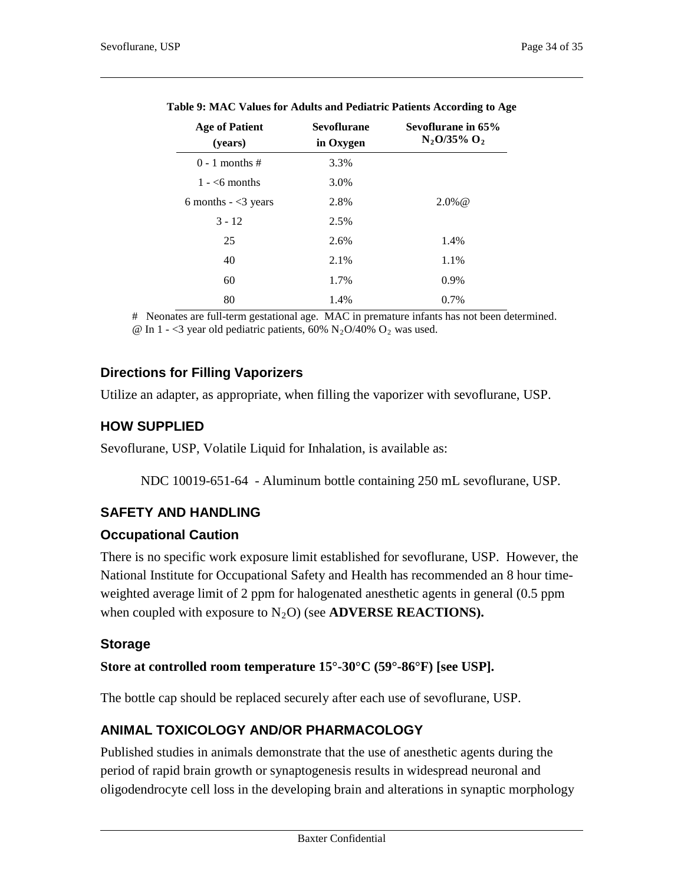| <b>Age of Patient</b><br>(years) | <b>Sevoflurane</b><br>in Oxygen | Sevoflurane in 65%<br>$N_2O/35\% O_2$ |  |  |
|----------------------------------|---------------------------------|---------------------------------------|--|--|
| $0 - 1$ months #                 | 3.3%                            |                                       |  |  |
| $1 - 6$ months                   | 3.0%                            |                                       |  |  |
| 6 months $-$ <3 years            | 2.8%                            | $2.0\%$ @                             |  |  |
| $3 - 12$                         | 2.5%                            |                                       |  |  |
| 25                               | 2.6%                            | 1.4%                                  |  |  |
| 40                               | 2.1%                            | 1.1%                                  |  |  |
| 60                               | 1.7%                            | 0.9%                                  |  |  |
| 80                               | 1.4%                            | 0.7%                                  |  |  |

| Table 9: MAC Values for Adults and Pediatric Patients According to Age |  |  |  |
|------------------------------------------------------------------------|--|--|--|

# Neonates are full-term gestational age. MAC in premature infants has not been determined. @ In 1 - <3 year old pediatric patients, 60%  $N_2O/40\%$  O<sub>2</sub> was used.

### **Directions for Filling Vaporizers**

Utilize an adapter, as appropriate, when filling the vaporizer with sevoflurane, USP.

# **HOW SUPPLIED**

Sevoflurane, USP, Volatile Liquid for Inhalation, is available as:

NDC 10019-651-64 - Aluminum bottle containing 250 mL sevoflurane, USP.

# **SAFETY AND HANDLING**

### **Occupational Caution**

There is no specific work exposure limit established for sevoflurane, USP. However, the National Institute for Occupational Safety and Health has recommended an 8 hour timeweighted average limit of 2 ppm for halogenated anesthetic agents in general (0.5 ppm when coupled with exposure to  $N_2O$ ) (see **ADVERSE REACTIONS).** 

### **Storage**

### **Store at controlled room temperature 15°-30°C (59°-86°F) [see USP].**

The bottle cap should be replaced securely after each use of sevoflurane, USP.

# **ANIMAL TOXICOLOGY AND/OR PHARMACOLOGY**

Published studies in animals demonstrate that the use of anesthetic agents during the period of rapid brain growth or synaptogenesis results in widespread neuronal and oligodendrocyte cell loss in the developing brain and alterations in synaptic morphology